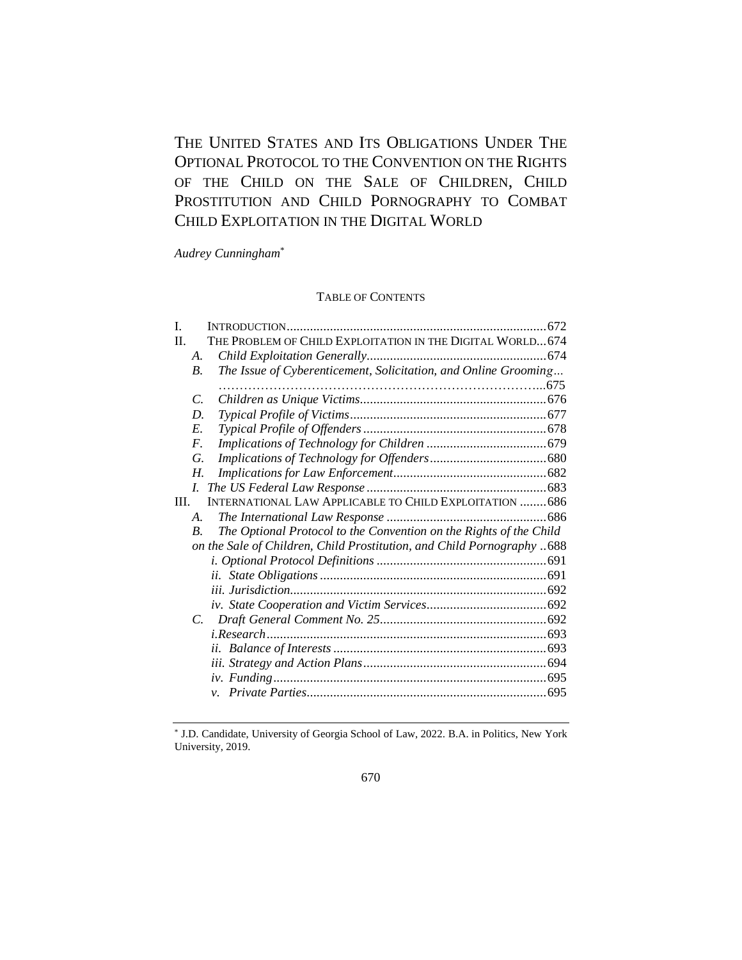THE UNITED STATES AND ITS OBLIGATIONS UNDER THE OPTIONAL PROTOCOL TO THE CONVENTION ON THE RIGHTS OF THE CHILD ON THE SALE OF CHILDREN, CHILD PROSTITUTION AND CHILD PORNOGRAPHY TO COMBAT CHILD EXPLOITATION IN THE DIGITAL WORLD

*Audrey Cunningham*\*

# TABLE OF CONTENTS

| L    |                       |                                                                        |  |
|------|-----------------------|------------------------------------------------------------------------|--|
| H.   |                       | THE PROBLEM OF CHILD EXPLOITATION IN THE DIGITAL WORLD 674             |  |
|      | A.                    |                                                                        |  |
|      | <i>B</i> .            | The Issue of Cyberenticement, Solicitation, and Online Grooming        |  |
|      |                       |                                                                        |  |
|      | C.                    |                                                                        |  |
|      | D.                    |                                                                        |  |
|      | E.                    |                                                                        |  |
|      | $F_{\cdot}$           |                                                                        |  |
|      | G.                    |                                                                        |  |
|      | Н.                    |                                                                        |  |
|      | $\overline{L}$        |                                                                        |  |
| III. |                       | <b>INTERNATIONAL LAW APPLICABLE TO CHILD EXPLOITATION  686</b>         |  |
|      | $\mathcal{A}_{\cdot}$ |                                                                        |  |
|      | $\boldsymbol{B}$ .    | The Optional Protocol to the Convention on the Rights of the Child     |  |
|      |                       | on the Sale of Children, Child Prostitution, and Child Pornography 688 |  |
|      |                       |                                                                        |  |
|      |                       |                                                                        |  |
|      |                       |                                                                        |  |
|      |                       |                                                                        |  |
|      | $\mathcal{C}$ .       |                                                                        |  |
|      |                       |                                                                        |  |
|      |                       |                                                                        |  |
|      |                       |                                                                        |  |
|      |                       |                                                                        |  |
|      |                       | $\mathcal{V}$ .                                                        |  |
|      |                       |                                                                        |  |

<sup>\*</sup> J.D. Candidate, University of Georgia School of Law, 2022. B.A. in Politics, New York University, 2019.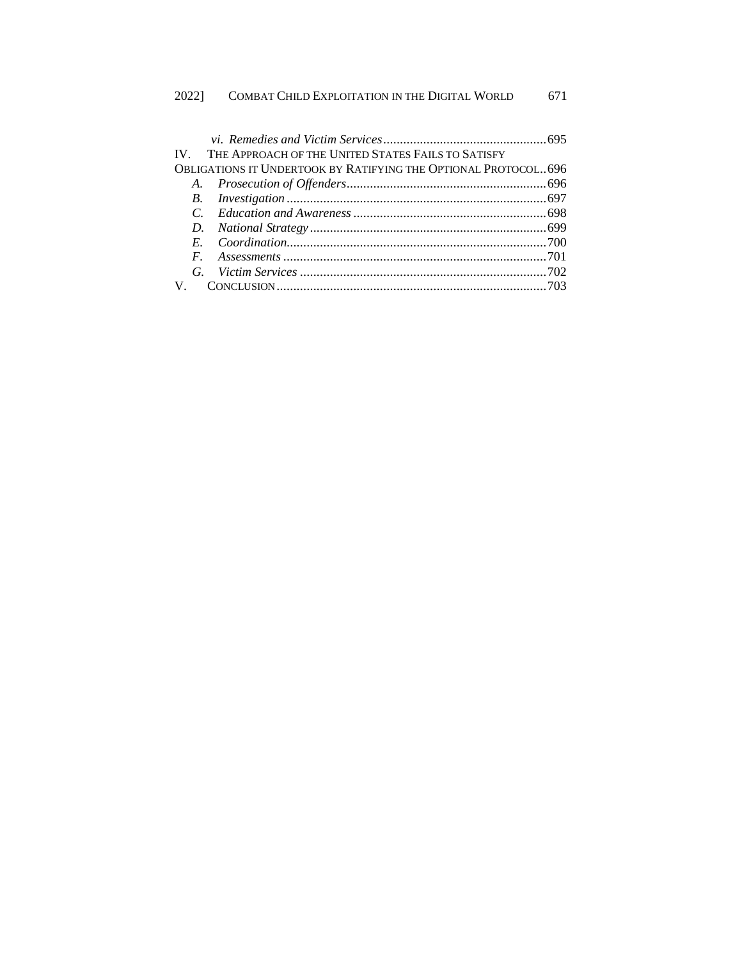|                                                                | IV. THE APPROACH OF THE UNITED STATES FAILS TO SATISFY |  |  |  |  |  |
|----------------------------------------------------------------|--------------------------------------------------------|--|--|--|--|--|
| OBLIGATIONS IT UNDERTOOK BY RATIFYING THE OPTIONAL PROTOCOL696 |                                                        |  |  |  |  |  |
|                                                                |                                                        |  |  |  |  |  |
|                                                                |                                                        |  |  |  |  |  |
|                                                                |                                                        |  |  |  |  |  |
|                                                                |                                                        |  |  |  |  |  |
|                                                                |                                                        |  |  |  |  |  |
|                                                                |                                                        |  |  |  |  |  |
|                                                                |                                                        |  |  |  |  |  |
|                                                                |                                                        |  |  |  |  |  |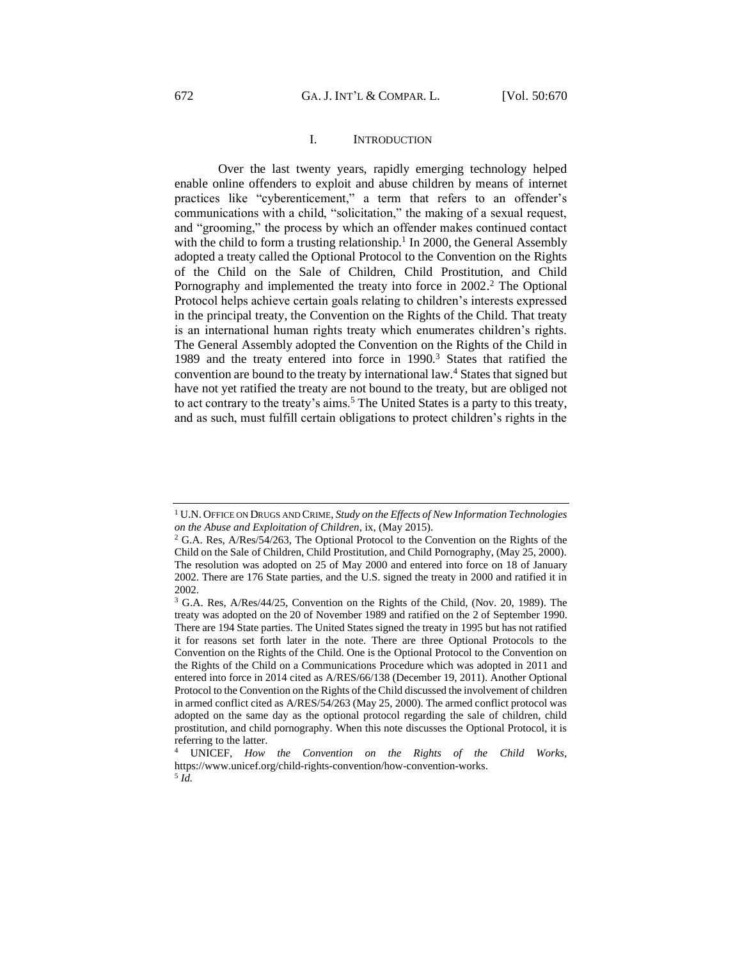# I. INTRODUCTION

<span id="page-2-0"></span>Over the last twenty years, rapidly emerging technology helped enable online offenders to exploit and abuse children by means of internet practices like "cyberenticement," a term that refers to an offender's communications with a child, "solicitation," the making of a sexual request, and "grooming," the process by which an offender makes continued contact with the child to form a trusting relationship.<sup>1</sup> In 2000, the General Assembly adopted a treaty called the Optional Protocol to the Convention on the Rights of the Child on the Sale of Children, Child Prostitution, and Child Pornography and implemented the treaty into force in 2002. <sup>2</sup> The Optional Protocol helps achieve certain goals relating to children's interests expressed in the principal treaty, the Convention on the Rights of the Child. That treaty is an international human rights treaty which enumerates children's rights. The General Assembly adopted the Convention on the Rights of the Child in 1989 and the treaty entered into force in 1990.<sup>3</sup> States that ratified the convention are bound to the treaty by international law.<sup>4</sup> States that signed but have not yet ratified the treaty are not bound to the treaty, but are obliged not to act contrary to the treaty's aims.<sup>5</sup> The United States is a party to this treaty, and as such, must fulfill certain obligations to protect children's rights in the

<sup>1</sup> U.N. OFFICE ON DRUGS AND CRIME, *Study on the Effects of New Information Technologies on the Abuse and Exploitation of Children*, ix, (May 2015).

<sup>&</sup>lt;sup>2</sup> G.A. Res, A/Res/54/263, The Optional Protocol to the Convention on the Rights of the Child on the Sale of Children, Child Prostitution, and Child Pornography, (May 25, 2000). The resolution was adopted on 25 of May 2000 and entered into force on 18 of January 2002. There are 176 State parties, and the U.S. signed the treaty in 2000 and ratified it in 2002.

<sup>3</sup> G.A. Res, A/Res/44/25, Convention on the Rights of the Child, (Nov. 20, 1989). The treaty was adopted on the 20 of November 1989 and ratified on the 2 of September 1990. There are 194 State parties. The United States signed the treaty in 1995 but has not ratified it for reasons set forth later in the note. There are three Optional Protocols to the Convention on the Rights of the Child. One is the Optional Protocol to the Convention on the Rights of the Child on a Communications Procedure which was adopted in 2011 and entered into force in 2014 cited as A/RES/66/138 (December 19, 2011). Another Optional Protocol to the Convention on the Rights of the Child discussed the involvement of children in armed conflict cited as A/RES/54/263 (May 25, 2000). The armed conflict protocol was adopted on the same day as the optional protocol regarding the sale of children, child prostitution, and child pornography. When this note discusses the Optional Protocol, it is referring to the latter.

<sup>4</sup> UNICEF, *How the Convention on the Rights of the Child Works,*  https://www.unicef.org/child-rights-convention/how-convention-works. 5 *Id.*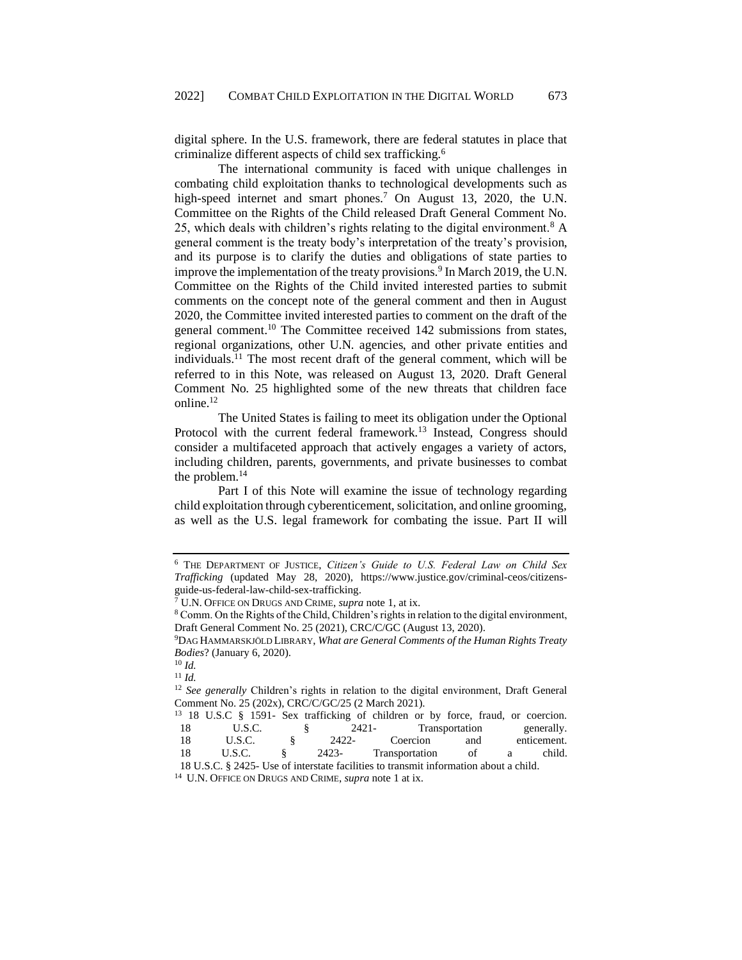digital sphere. In the U.S. framework, there are federal statutes in place that criminalize different aspects of child sex trafficking.<sup>6</sup>

The international community is faced with unique challenges in combating child exploitation thanks to technological developments such as high-speed internet and smart phones.<sup>7</sup> On August 13, 2020, the U.N. Committee on the Rights of the Child released Draft General Comment No. 25, which deals with children's rights relating to the digital environment.<sup>8</sup> A general comment is the treaty body's interpretation of the treaty's provision, and its purpose is to clarify the duties and obligations of state parties to improve the implementation of the treaty provisions.<sup>9</sup> In March 2019, the U.N. Committee on the Rights of the Child invited interested parties to submit comments on the concept note of the general comment and then in August 2020, the Committee invited interested parties to comment on the draft of the general comment.<sup>10</sup> The Committee received 142 submissions from states, regional organizations, other U.N. agencies, and other private entities and individuals.<sup>11</sup> The most recent draft of the general comment, which will be referred to in this Note, was released on August 13, 2020. Draft General Comment No. 25 highlighted some of the new threats that children face online.<sup>12</sup>

The United States is failing to meet its obligation under the Optional Protocol with the current federal framework.<sup>13</sup> Instead, Congress should consider a multifaceted approach that actively engages a variety of actors, including children, parents, governments, and private businesses to combat the problem.<sup>14</sup>

Part I of this Note will examine the issue of technology regarding child exploitation through cyberenticement, solicitation, and online grooming, as well as the U.S. legal framework for combating the issue. Part II will

<sup>12</sup> *See generally* Children's rights in relation to the digital environment, Draft General Comment No. 25 (202x), CRC/C/GC/25 (2 March 2021).

|    | <sup>13</sup> 18 U.S.C § 1591- Sex trafficking of children or by force, fraud, or coercion. |       |                |                |   |             |
|----|---------------------------------------------------------------------------------------------|-------|----------------|----------------|---|-------------|
| 18 | U.S.C.                                                                                      |       | 2421-          | Transportation |   | generally.  |
| 18 | U.S.C.                                                                                      | 2422- | Coercion       | and            |   | enticement. |
| 18 | U.S.C.                                                                                      | 2423- | Transportation | of             | а | child.      |

18 U.S.C. § 2425- Use of interstate facilities to transmit information about a child.

<sup>14</sup> U.N. OFFICE ON DRUGS AND CRIME, *supra* note 1 at ix.

<sup>6</sup> THE DEPARTMENT OF JUSTICE, *Citizen's Guide to U.S. Federal Law on Child Sex Trafficking* (updated May 28, 2020), [https://www.justice.gov/criminal-ceos/citizens](https://www.justice.gov/criminal-ceos/citizens-guide-us-federal-law-child-sex-trafficking)[guide-us-federal-law-child-sex-trafficking.](https://www.justice.gov/criminal-ceos/citizens-guide-us-federal-law-child-sex-trafficking)

<sup>7</sup> U.N. OFFICE ON DRUGS AND CRIME, *supra* note 1, at ix.

<sup>8</sup> Comm. On the Rights of the Child, Children's rights in relation to the digital environment, Draft General Comment No. 25 (2021), CRC/C/GC (August 13, 2020).

<sup>9</sup>DAG HAMMARSKJÖLD LIBRARY, *What are General Comments of the Human Rights Treaty Bodies*? (January 6, 2020).

<sup>10</sup> *Id.*

<sup>11</sup> *Id.*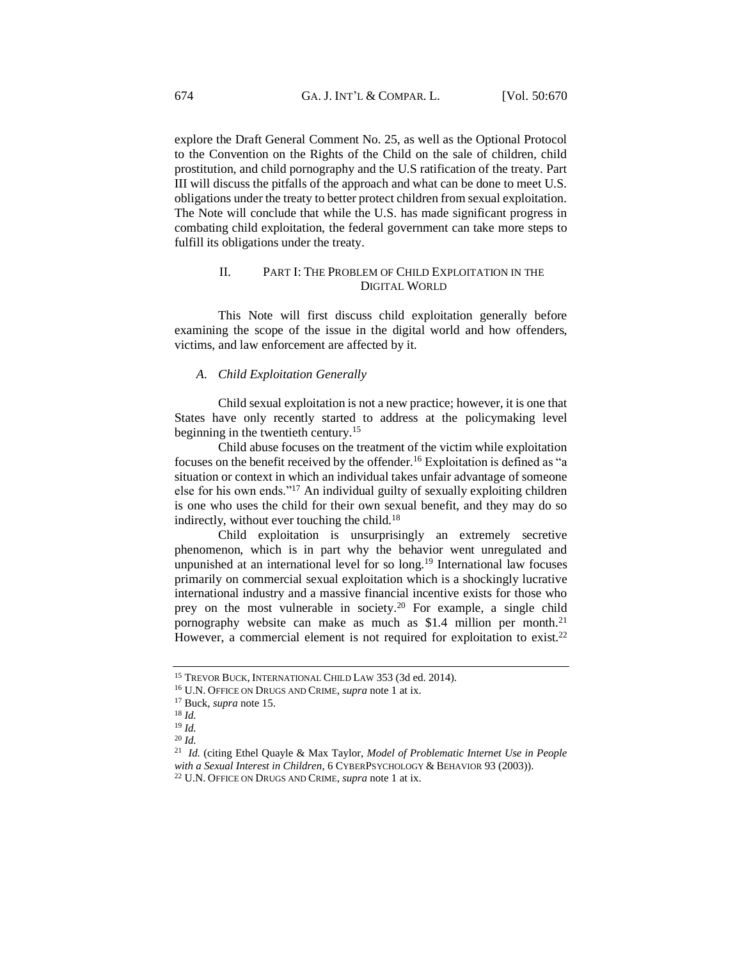explore the Draft General Comment No. 25, as well as the Optional Protocol to the Convention on the Rights of the Child on the sale of children, child prostitution, and child pornography and the U.S ratification of the treaty. Part III will discuss the pitfalls of the approach and what can be done to meet U.S. obligations under the treaty to better protect children from sexual exploitation. The Note will conclude that while the U.S. has made significant progress in combating child exploitation, the federal government can take more steps to fulfill its obligations under the treaty.

# II. PART I: THE PROBLEM OF CHILD EXPLOITATION IN THE DIGITAL WORLD

<span id="page-4-0"></span>This Note will first discuss child exploitation generally before examining the scope of the issue in the digital world and how offenders, victims, and law enforcement are affected by it.

### <span id="page-4-1"></span>*A. Child Exploitation Generally*

Child sexual exploitation is not a new practice; however, it is one that States have only recently started to address at the policymaking level beginning in the twentieth century.<sup>15</sup>

Child abuse focuses on the treatment of the victim while exploitation focuses on the benefit received by the offender.<sup>16</sup> Exploitation is defined as "a situation or context in which an individual takes unfair advantage of someone else for his own ends."<sup>17</sup> An individual guilty of sexually exploiting children is one who uses the child for their own sexual benefit, and they may do so indirectly, without ever touching the child.<sup>18</sup>

Child exploitation is unsurprisingly an extremely secretive phenomenon, which is in part why the behavior went unregulated and unpunished at an international level for so long.<sup>19</sup> International law focuses primarily on commercial sexual exploitation which is a shockingly lucrative international industry and a massive financial incentive exists for those who prey on the most vulnerable in society.<sup>20</sup> For example, a single child pornography website can make as much as  $$1.4$  million per month.<sup>21</sup> However, a commercial element is not required for exploitation to exist.<sup>22</sup>

<sup>15</sup> TREVOR BUCK, INTERNATIONAL CHILD LAW 353 (3d ed. 2014).

<sup>16</sup> U.N. OFFICE ON DRUGS AND CRIME, *supra* note 1 at ix.

<sup>17</sup> Buck, *supra* note 15.

<sup>18</sup> *Id.*

<sup>19</sup> *Id.*

<sup>20</sup> *Id.*

<sup>21</sup> *Id.* (citing Ethel Quayle & Max Taylor, *Model of Problematic Internet Use in People with a Sexual Interest in Children*, 6 CYBERPSYCHOLOGY & BEHAVIOR 93 (2003)).

<sup>22</sup> U.N. OFFICE ON DRUGS AND CRIME, *supra* note 1 at ix.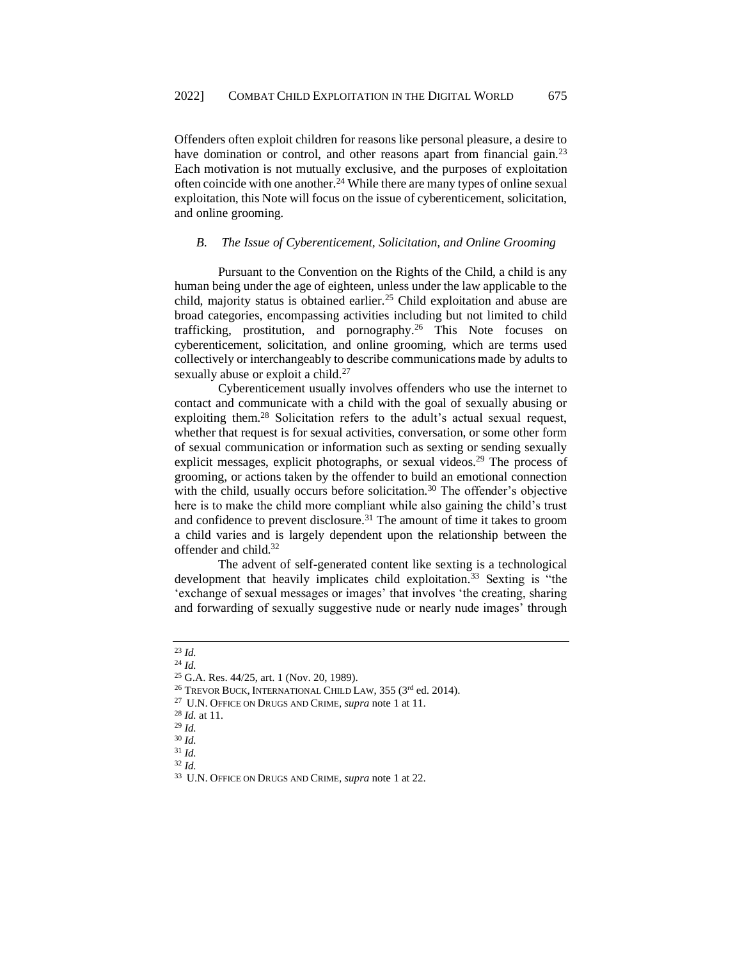Offenders often exploit children for reasons like personal pleasure, a desire to have domination or control, and other reasons apart from financial gain.<sup>23</sup> Each motivation is not mutually exclusive, and the purposes of exploitation often coincide with one another.<sup>24</sup> While there are many types of online sexual exploitation, this Note will focus on the issue of cyberenticement, solicitation, and online grooming.

#### <span id="page-5-0"></span>*B. The Issue of Cyberenticement, Solicitation, and Online Grooming*

Pursuant to the Convention on the Rights of the Child, a child is any human being under the age of eighteen, unless under the law applicable to the child, majority status is obtained earlier.<sup>25</sup> Child exploitation and abuse are broad categories, encompassing activities including but not limited to child trafficking, prostitution, and pornography.<sup>26</sup> This Note focuses on cyberenticement, solicitation, and online grooming, which are terms used collectively or interchangeably to describe communications made by adults to sexually abuse or exploit a child.<sup>27</sup>

Cyberenticement usually involves offenders who use the internet to contact and communicate with a child with the goal of sexually abusing or exploiting them.<sup>28</sup> Solicitation refers to the adult's actual sexual request, whether that request is for sexual activities, conversation, or some other form of sexual communication or information such as sexting or sending sexually explicit messages, explicit photographs, or sexual videos.<sup>29</sup> The process of grooming, or actions taken by the offender to build an emotional connection with the child, usually occurs before solicitation.<sup>30</sup> The offender's objective here is to make the child more compliant while also gaining the child's trust and confidence to prevent disclosure.<sup>31</sup> The amount of time it takes to groom a child varies and is largely dependent upon the relationship between the offender and child.<sup>32</sup>

The advent of self-generated content like sexting is a technological development that heavily implicates child exploitation.<sup>33</sup> Sexting is "the 'exchange of sexual messages or images' that involves 'the creating, sharing and forwarding of sexually suggestive nude or nearly nude images' through

# <sup>23</sup> *Id.*

- <sup>27</sup> U.N. OFFICE ON DRUGS AND CRIME, *supra* note 1 at 11.
- <sup>28</sup> *Id.* at 11.
- <sup>29</sup> *Id.*

<sup>24</sup> *Id.*

<sup>25</sup> G.A. Res. 44/25, art. 1 (Nov. 20, 1989).

<sup>&</sup>lt;sup>26</sup> TREVOR BUCK, INTERNATIONAL CHILD LAW, 355 (3<sup>rd</sup> ed. 2014).

<sup>30</sup> *Id.*

<sup>31</sup> *Id.*

<sup>32</sup> *Id.*

<sup>33</sup> U.N. OFFICE ON DRUGS AND CRIME, *supra* note 1 at 22.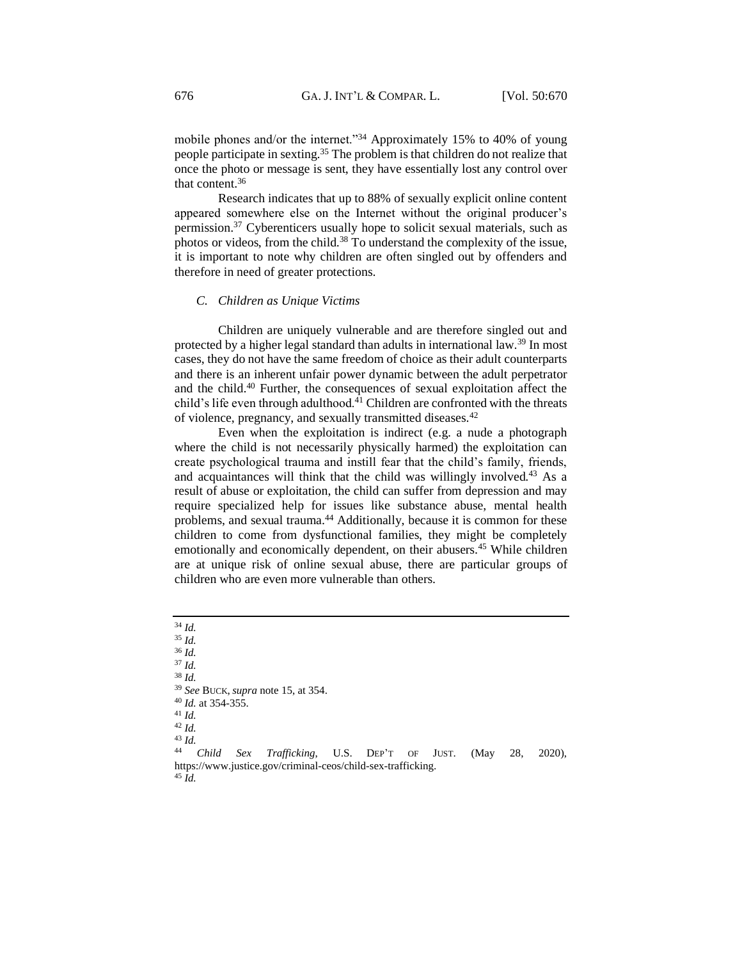mobile phones and/or the internet."<sup>34</sup> Approximately 15% to 40% of young people participate in sexting.<sup>35</sup> The problem is that children do not realize that once the photo or message is sent, they have essentially lost any control over that content.<sup>36</sup>

Research indicates that up to 88% of sexually explicit online content appeared somewhere else on the Internet without the original producer's permission.<sup>37</sup> Cyberenticers usually hope to solicit sexual materials, such as photos or videos, from the child.<sup>38</sup> To understand the complexity of the issue, it is important to note why children are often singled out by offenders and therefore in need of greater protections.

#### <span id="page-6-0"></span>*C. Children as Unique Victims*

Children are uniquely vulnerable and are therefore singled out and protected by a higher legal standard than adults in international law.<sup>39</sup> In most cases, they do not have the same freedom of choice as their adult counterparts and there is an inherent unfair power dynamic between the adult perpetrator and the child.<sup>40</sup> Further, the consequences of sexual exploitation affect the child's life even through adulthood. $4\overline{1}$  Children are confronted with the threats of violence, pregnancy, and sexually transmitted diseases.<sup>42</sup>

Even when the exploitation is indirect (e.g. a nude a photograph where the child is not necessarily physically harmed) the exploitation can create psychological trauma and instill fear that the child's family, friends, and acquaintances will think that the child was willingly involved.<sup>43</sup> As a result of abuse or exploitation, the child can suffer from depression and may require specialized help for issues like substance abuse, mental health problems, and sexual trauma.<sup>44</sup> Additionally, because it is common for these children to come from dysfunctional families, they might be completely emotionally and economically dependent, on their abusers.<sup>45</sup> While children are at unique risk of online sexual abuse, there are particular groups of children who are even more vulnerable than others.

<sup>45</sup> *Id.*

<sup>34</sup> *Id.* <sup>35</sup> *Id.* <sup>36</sup> *Id.* <sup>37</sup> *Id.* <sup>38</sup> *Id.*  <sup>39</sup> *See* BUCK,*supra* note 15, at 354. <sup>40</sup> *Id.* at 354-355. <sup>41</sup> *Id.* <sup>42</sup> *Id.* <sup>43</sup> *Id.* Sex Trafficking, U.S. DEP'T OF JUST. (May 28, 2020), https://www.justice.gov/criminal-ceos/child-sex-trafficking.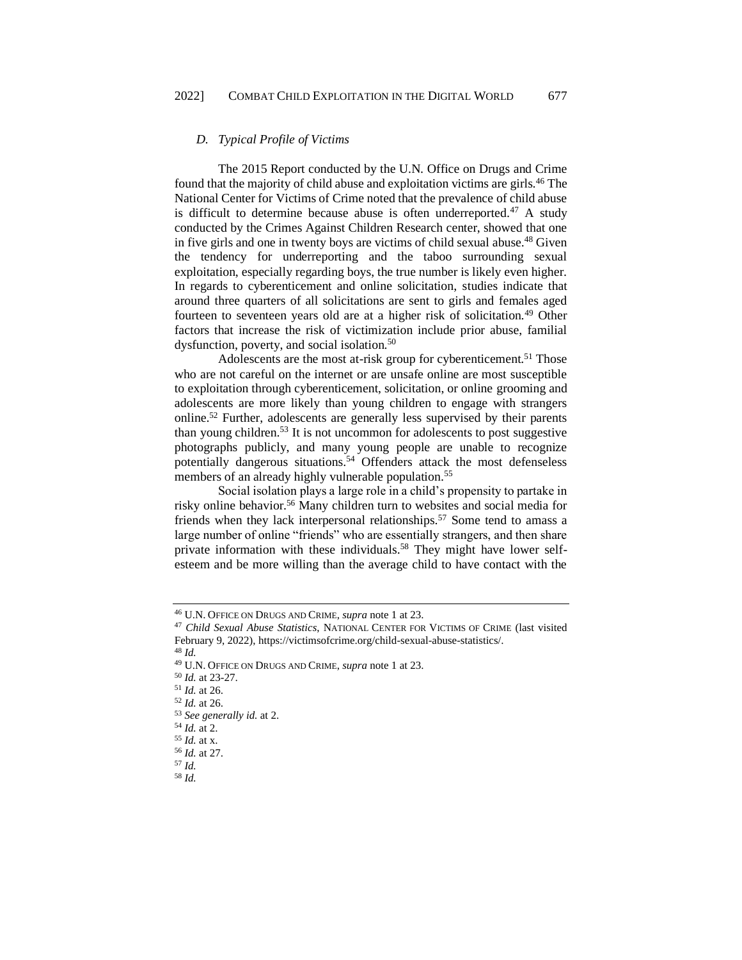# <span id="page-7-0"></span>*D. Typical Profile of Victims*

The 2015 Report conducted by the U.N. Office on Drugs and Crime found that the majority of child abuse and exploitation victims are girls.<sup>46</sup> The National Center for Victims of Crime noted that the prevalence of child abuse is difficult to determine because abuse is often underreported.<sup>47</sup> A study conducted by the Crimes Against Children Research center, showed that one in five girls and one in twenty boys are victims of child sexual abuse.<sup>48</sup> Given the tendency for underreporting and the taboo surrounding sexual exploitation, especially regarding boys, the true number is likely even higher. In regards to cyberenticement and online solicitation, studies indicate that around three quarters of all solicitations are sent to girls and females aged fourteen to seventeen years old are at a higher risk of solicitation.<sup>49</sup> Other factors that increase the risk of victimization include prior abuse, familial dysfunction, poverty, and social isolation.<sup>50</sup>

Adolescents are the most at-risk group for cyberenticement.<sup>51</sup> Those who are not careful on the internet or are unsafe online are most susceptible to exploitation through cyberenticement, solicitation, or online grooming and adolescents are more likely than young children to engage with strangers online.<sup>52</sup> Further, adolescents are generally less supervised by their parents than young children.<sup>53</sup> It is not uncommon for adolescents to post suggestive photographs publicly, and many young people are unable to recognize potentially dangerous situations.<sup>54</sup> Offenders attack the most defenseless members of an already highly vulnerable population.<sup>55</sup>

Social isolation plays a large role in a child's propensity to partake in risky online behavior.<sup>56</sup> Many children turn to websites and social media for friends when they lack interpersonal relationships.<sup>57</sup> Some tend to amass a large number of online "friends" who are essentially strangers, and then share private information with these individuals.<sup>58</sup> They might have lower selfesteem and be more willing than the average child to have contact with the

<sup>48</sup> *Id.*

<sup>50</sup> *Id.* at 23-27.

<sup>52</sup> *Id.* at 26.

<sup>46</sup> U.N. OFFICE ON DRUGS AND CRIME, *supra* note 1 at 23.

<sup>47</sup> *Child Sexual Abuse Statistics*, NATIONAL CENTER FOR VICTIMS OF CRIME (last visited February 9, 2022)[, https://victimsofcrime.org/child-sexual-abuse-statistics/.](https://victimsofcrime.org/child-sexual-abuse-statistics/)

<sup>49</sup> U.N. OFFICE ON DRUGS AND CRIME, *supra* note 1 at 23.

<sup>51</sup> *Id.* at 26.

<sup>53</sup> *See generally id.* at 2.

<sup>54</sup> *Id.* at 2.

<sup>55</sup> *Id.* at x.

<sup>56</sup> *Id.* at 27.

<sup>57</sup> *Id.* 

<sup>58</sup> *Id.*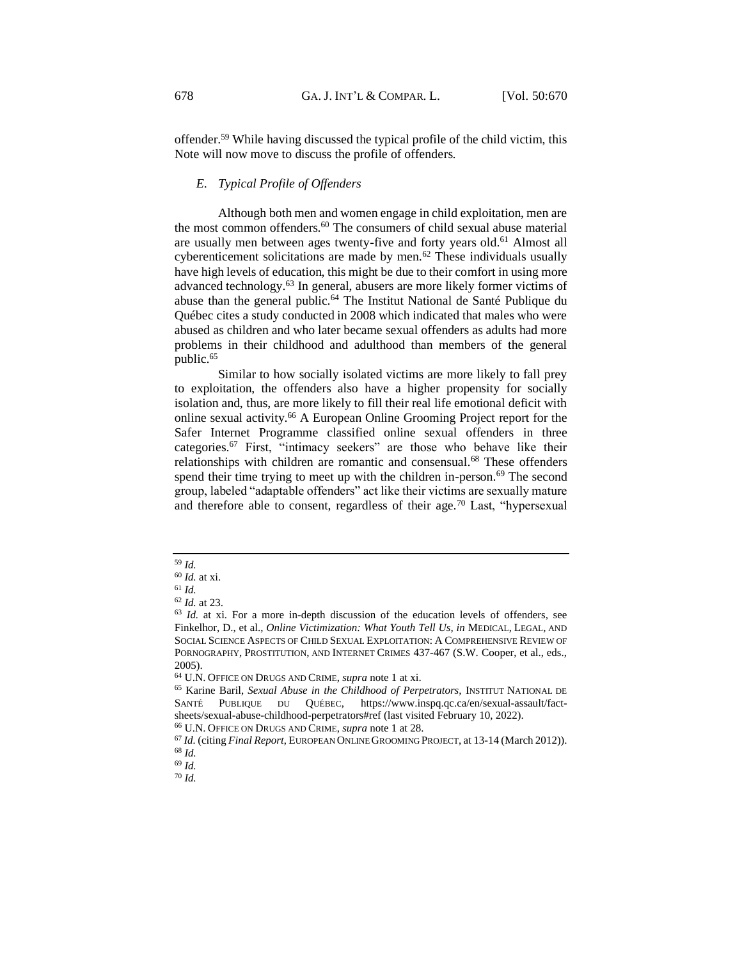offender.<sup>59</sup> While having discussed the typical profile of the child victim, this Note will now move to discuss the profile of offenders.

### <span id="page-8-0"></span>*E. Typical Profile of Offenders*

Although both men and women engage in child exploitation, men are the most common offenders.<sup>60</sup> The consumers of child sexual abuse material are usually men between ages twenty-five and forty years old.<sup>61</sup> Almost all cyberenticement solicitations are made by men.<sup>62</sup> These individuals usually have high levels of education, this might be due to their comfort in using more advanced technology.<sup>63</sup> In general, abusers are more likely former victims of abuse than the general public.<sup>64</sup> The Institut National de Santé Publique du Québec cites a study conducted in 2008 which indicated that males who were abused as children and who later became sexual offenders as adults had more problems in their childhood and adulthood than members of the general public.<sup>65</sup>

Similar to how socially isolated victims are more likely to fall prey to exploitation, the offenders also have a higher propensity for socially isolation and, thus, are more likely to fill their real life emotional deficit with online sexual activity.<sup>66</sup> A European Online Grooming Project report for the Safer Internet Programme classified online sexual offenders in three categories.<sup>67</sup> First, "intimacy seekers" are those who behave like their relationships with children are romantic and consensual.<sup>68</sup> These offenders spend their time trying to meet up with the children in-person.<sup>69</sup> The second group, labeled "adaptable offenders" act like their victims are sexually mature and therefore able to consent, regardless of their age.<sup>70</sup> Last, "hypersexual

<sup>59</sup> *Id.*

<sup>60</sup> *Id.* at xi.

<sup>61</sup> *Id.*

<sup>62</sup> *Id.* at 23.

<sup>63</sup> *Id.* at xi. For a more in-depth discussion of the education levels of offenders, see Finkelhor, D., et al., *Online Victimization: What Youth Tell Us, in* MEDICAL, LEGAL, AND SOCIAL SCIENCE ASPECTS OF CHILD SEXUAL EXPLOITATION: A COMPREHENSIVE REVIEW OF PORNOGRAPHY, PROSTITUTION, AND INTERNET CRIMES 437-467 (S.W. Cooper, et al., eds., 2005).

<sup>64</sup> U.N. OFFICE ON DRUGS AND CRIME, *supra* note 1 at xi.

<sup>65</sup> Karine Baril, *Sexual Abuse in the Childhood of Perpetrators,* INSTITUT NATIONAL DE SANTÉ PUBLIQUE DU QUÉBEC, [https://www.inspq.qc.ca/en/sexual-assault/fact](https://www.inspq.qc.ca/en/sexual-assault/fact-sheets/sexual-abuse-childhood-perpetrators#ref)[sheets/sexual-abuse-childhood-perpetrators#ref](https://www.inspq.qc.ca/en/sexual-assault/fact-sheets/sexual-abuse-childhood-perpetrators#ref) (last visited February 10, 2022).

<sup>66</sup> U.N. OFFICE ON DRUGS AND CRIME, *supra* note 1 at 28.

<sup>67</sup> *Id.* (citing *Final Report*, EUROPEAN ONLINE GROOMING PROJECT, at 13-14 (March 2012)). <sup>68</sup> *Id.*

<sup>69</sup> *Id.*

<sup>70</sup> *Id.*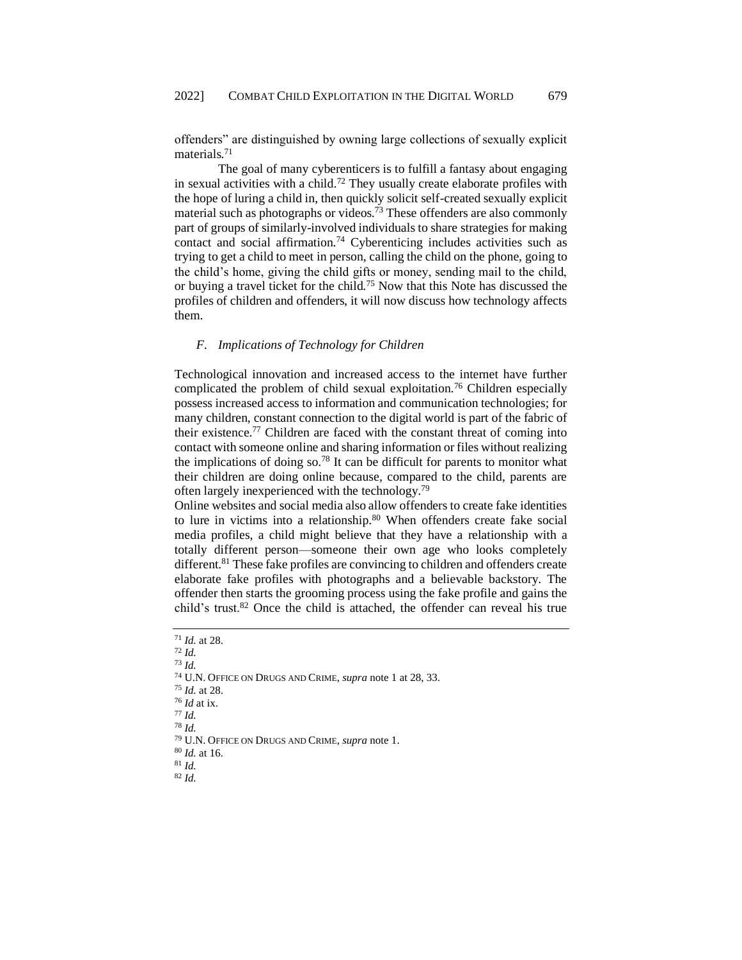offenders" are distinguished by owning large collections of sexually explicit materials.<sup>71</sup>

The goal of many cyberenticers is to fulfill a fantasy about engaging in sexual activities with a child.<sup>72</sup> They usually create elaborate profiles with the hope of luring a child in, then quickly solicit self-created sexually explicit material such as photographs or videos.<sup>73</sup> These offenders are also commonly part of groups of similarly-involved individuals to share strategies for making contact and social affirmation.<sup>74</sup> Cyberenticing includes activities such as trying to get a child to meet in person, calling the child on the phone, going to the child's home, giving the child gifts or money, sending mail to the child, or buying a travel ticket for the child.<sup>75</sup> Now that this Note has discussed the profiles of children and offenders, it will now discuss how technology affects them.

#### <span id="page-9-0"></span>*F. Implications of Technology for Children*

Technological innovation and increased access to the internet have further complicated the problem of child sexual exploitation.<sup>76</sup> Children especially possess increased access to information and communication technologies; for many children, constant connection to the digital world is part of the fabric of their existence.<sup>77</sup> Children are faced with the constant threat of coming into contact with someone online and sharing information or files without realizing the implications of doing so.<sup>78</sup> It can be difficult for parents to monitor what their children are doing online because, compared to the child, parents are often largely inexperienced with the technology.<sup>79</sup>

Online websites and social media also allow offenders to create fake identities to lure in victims into a relationship.<sup>80</sup> When offenders create fake social media profiles, a child might believe that they have a relationship with a totally different person—someone their own age who looks completely different.<sup>81</sup> These fake profiles are convincing to children and offenders create elaborate fake profiles with photographs and a believable backstory. The offender then starts the grooming process using the fake profile and gains the child's trust.<sup>82</sup> Once the child is attached, the offender can reveal his true

<sup>73</sup> *Id.*

<sup>75</sup> *Id.* at 28.

<sup>76</sup> *Id* at ix.

<sup>79</sup> U.N. OFFICE ON DRUGS AND CRIME, *supra* note 1.

<sup>80</sup> *Id.* at 16. <sup>81</sup> *Id.*

<sup>82</sup> *Id.*

<sup>71</sup> *Id.* at 28.

<sup>72</sup> *Id.*

<sup>74</sup> U.N. OFFICE ON DRUGS AND CRIME, *supra* note 1 at 28, 33.

<sup>77</sup> *Id.* <sup>78</sup> *Id.*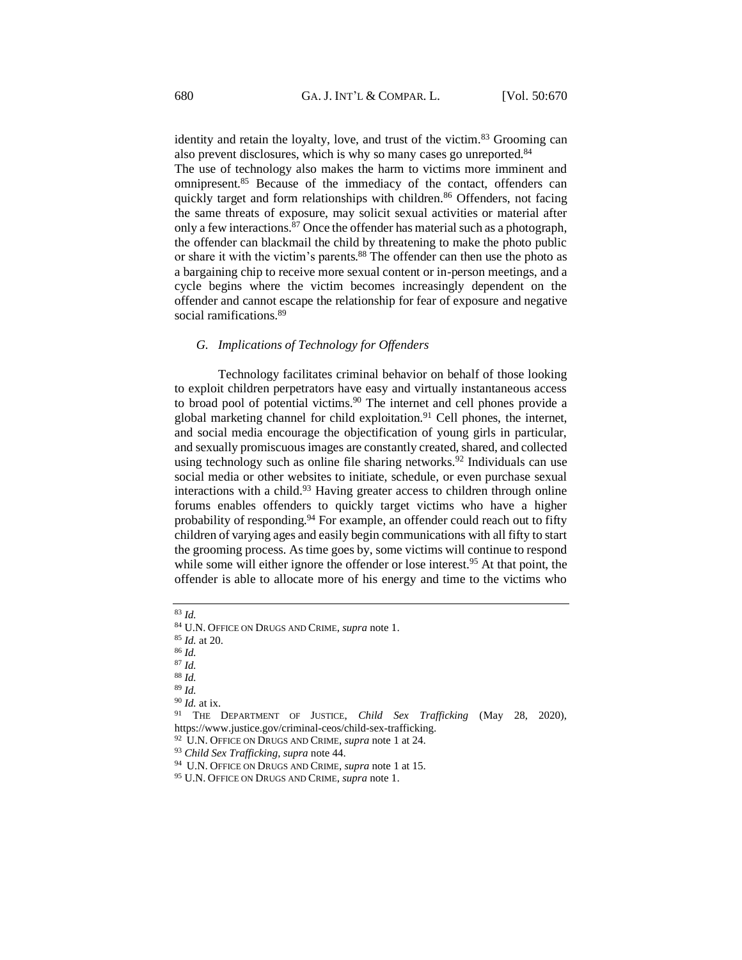identity and retain the loyalty, love, and trust of the victim.<sup>83</sup> Grooming can also prevent disclosures, which is why so many cases go unreported.<sup>84</sup>

The use of technology also makes the harm to victims more imminent and omnipresent.<sup>85</sup> Because of the immediacy of the contact, offenders can quickly target and form relationships with children.<sup>86</sup> Offenders, not facing the same threats of exposure, may solicit sexual activities or material after only a few interactions.<sup>87</sup> Once the offender has material such as a photograph, the offender can blackmail the child by threatening to make the photo public or share it with the victim's parents.<sup>88</sup> The offender can then use the photo as a bargaining chip to receive more sexual content or in-person meetings, and a cycle begins where the victim becomes increasingly dependent on the offender and cannot escape the relationship for fear of exposure and negative social ramifications.<sup>89</sup>

#### <span id="page-10-0"></span>*G. Implications of Technology for Offenders*

Technology facilitates criminal behavior on behalf of those looking to exploit children perpetrators have easy and virtually instantaneous access to broad pool of potential victims.<sup>90</sup> The internet and cell phones provide a global marketing channel for child exploitation.<sup>91</sup> Cell phones, the internet, and social media encourage the objectification of young girls in particular, and sexually promiscuous images are constantly created, shared, and collected using technology such as online file sharing networks.<sup>92</sup> Individuals can use social media or other websites to initiate, schedule, or even purchase sexual interactions with a child. $93$  Having greater access to children through online forums enables offenders to quickly target victims who have a higher probability of responding.<sup>94</sup> For example, an offender could reach out to fifty children of varying ages and easily begin communications with all fifty to start the grooming process. As time goes by, some victims will continue to respond while some will either ignore the offender or lose interest.<sup>95</sup> At that point, the offender is able to allocate more of his energy and time to the victims who

<sup>83</sup> *Id.*

<sup>84</sup> U.N. OFFICE ON DRUGS AND CRIME, *supra* note 1.

<sup>85</sup> *Id.* at 20.

<sup>86</sup> *Id.*

<sup>87</sup> *Id.*

<sup>88</sup> *Id.*

<sup>89</sup> *Id.*

<sup>90</sup> *Id.* at ix.

<sup>91</sup> THE DEPARTMENT OF JUSTICE, *Child Sex Trafficking* (May 28, 2020), https://www.justice.gov/criminal-ceos/child-sex-trafficking.

<sup>92</sup> U.N. OFFICE ON DRUGS AND CRIME, *supra* note 1 at 24.

<sup>93</sup> *Child Sex Trafficking*, *supra* note 44.

<sup>94</sup> U.N. OFFICE ON DRUGS AND CRIME, *supra* note 1 at 15.

<sup>95</sup> U.N. OFFICE ON DRUGS AND CRIME, *supra* note 1.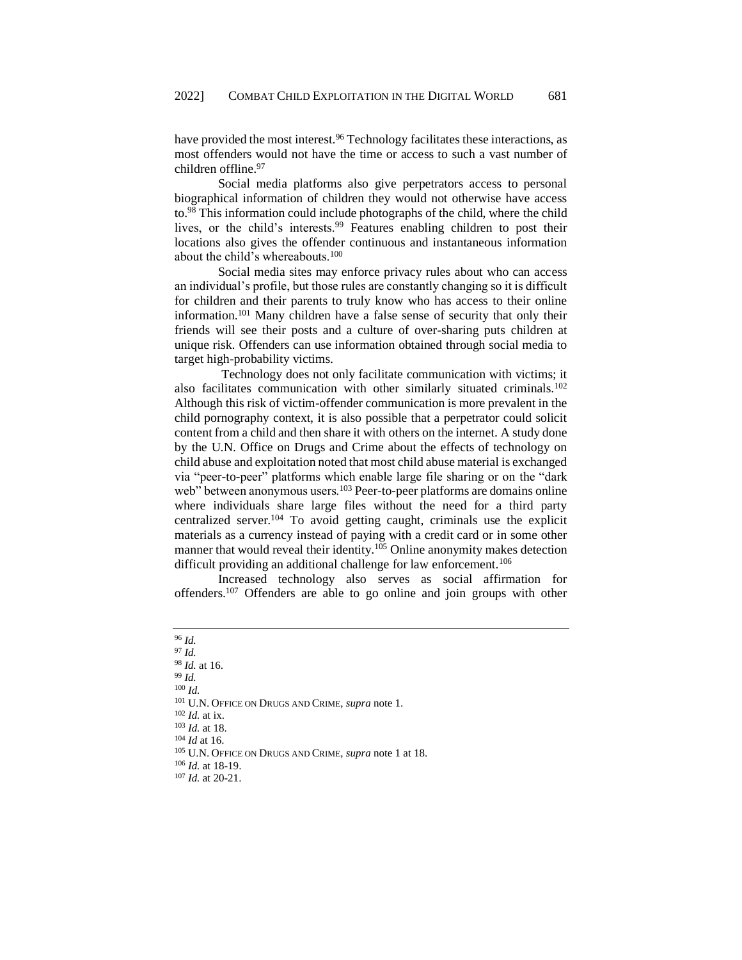have provided the most interest.<sup>96</sup> Technology facilitates these interactions, as most offenders would not have the time or access to such a vast number of children offline.<sup>97</sup>

Social media platforms also give perpetrators access to personal biographical information of children they would not otherwise have access to.<sup>98</sup> This information could include photographs of the child, where the child lives, or the child's interests.<sup>99</sup> Features enabling children to post their locations also gives the offender continuous and instantaneous information about the child's whereabouts.<sup>100</sup>

Social media sites may enforce privacy rules about who can access an individual's profile, but those rules are constantly changing so it is difficult for children and their parents to truly know who has access to their online information.<sup>101</sup> Many children have a false sense of security that only their friends will see their posts and a culture of over-sharing puts children at unique risk. Offenders can use information obtained through social media to target high-probability victims.

Technology does not only facilitate communication with victims; it also facilitates communication with other similarly situated criminals.<sup>102</sup> Although this risk of victim-offender communication is more prevalent in the child pornography context, it is also possible that a perpetrator could solicit content from a child and then share it with others on the internet. A study done by the U.N. Office on Drugs and Crime about the effects of technology on child abuse and exploitation noted that most child abuse material is exchanged via "peer-to-peer" platforms which enable large file sharing or on the "dark web" between anonymous users.<sup>103</sup> Peer-to-peer platforms are domains online where individuals share large files without the need for a third party centralized server.<sup>104</sup> To avoid getting caught, criminals use the explicit materials as a currency instead of paying with a credit card or in some other manner that would reveal their identity.<sup>105</sup> Online anonymity makes detection difficult providing an additional challenge for law enforcement.<sup>106</sup>

Increased technology also serves as social affirmation for offenders.<sup>107</sup> Offenders are able to go online and join groups with other

<sup>96</sup> *Id.* <sup>97</sup> *Id.* <sup>98</sup> *Id.* at 16. <sup>99</sup> *Id.* <sup>100</sup> *Id.* <sup>101</sup> U.N. OFFICE ON DRUGS AND CRIME, *supra* note 1. <sup>102</sup> *Id.* at ix. <sup>103</sup> *Id.* at 18. <sup>104</sup> *Id* at 16. <sup>105</sup> U.N. OFFICE ON DRUGS AND CRIME, *supra* note 1 at 18. <sup>106</sup> *Id.* at 18-19. <sup>107</sup> *Id.* at 20-21.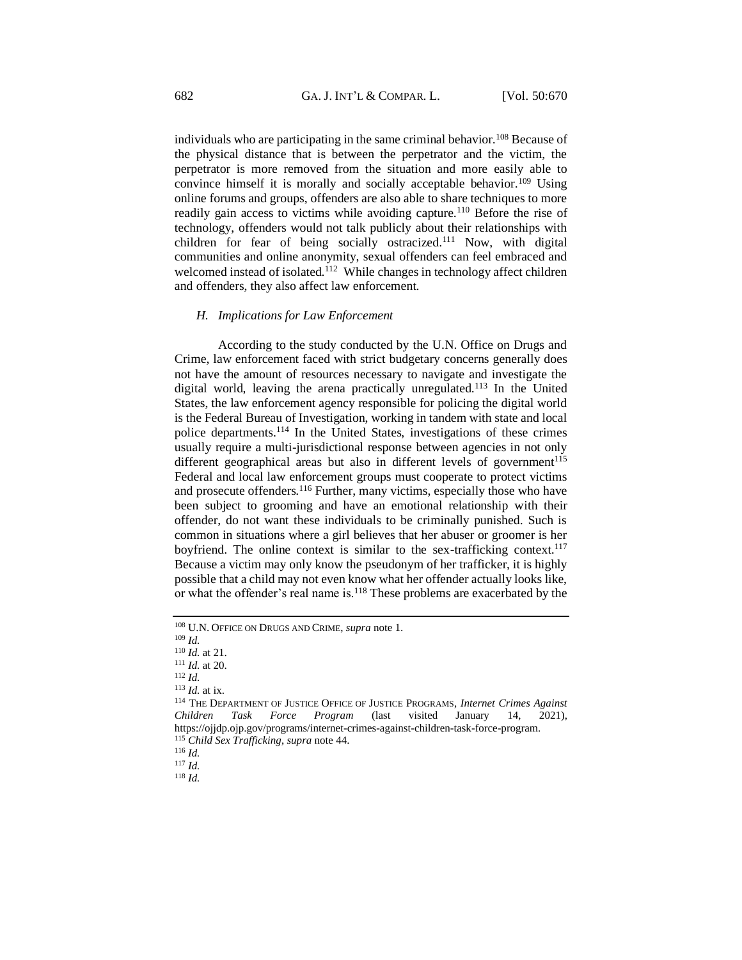individuals who are participating in the same criminal behavior.<sup>108</sup> Because of the physical distance that is between the perpetrator and the victim, the perpetrator is more removed from the situation and more easily able to convince himself it is morally and socially acceptable behavior.<sup>109</sup> Using online forums and groups, offenders are also able to share techniques to more readily gain access to victims while avoiding capture.<sup>110</sup> Before the rise of technology, offenders would not talk publicly about their relationships with children for fear of being socially ostracized.<sup>111</sup> Now, with digital communities and online anonymity, sexual offenders can feel embraced and welcomed instead of isolated.<sup>112</sup> While changes in technology affect children and offenders, they also affect law enforcement.

#### <span id="page-12-0"></span>*H. Implications for Law Enforcement*

According to the study conducted by the U.N. Office on Drugs and Crime, law enforcement faced with strict budgetary concerns generally does not have the amount of resources necessary to navigate and investigate the digital world, leaving the arena practically unregulated.<sup>113</sup> In the United States, the law enforcement agency responsible for policing the digital world is the Federal Bureau of Investigation, working in tandem with state and local police departments.<sup>114</sup> In the United States, investigations of these crimes usually require a multi-jurisdictional response between agencies in not only different geographical areas but also in different levels of government $115$ Federal and local law enforcement groups must cooperate to protect victims and prosecute offenders.<sup>116</sup> Further, many victims, especially those who have been subject to grooming and have an emotional relationship with their offender, do not want these individuals to be criminally punished. Such is common in situations where a girl believes that her abuser or groomer is her boyfriend. The online context is similar to the sex-trafficking context.<sup>117</sup> Because a victim may only know the pseudonym of her trafficker, it is highly possible that a child may not even know what her offender actually looks like, or what the offender's real name is.<sup>118</sup> These problems are exacerbated by the

<sup>108</sup> U.N. OFFICE ON DRUGS AND CRIME, *supra* note 1.

<sup>109</sup> *Id.*

<sup>110</sup> *Id.* at 21.

<sup>111</sup> *Id.* at 20.

<sup>112</sup> *Id.*

<sup>113</sup> *Id.* at ix.

<sup>114</sup> THE DEPARTMENT OF JUSTICE OFFICE OF JUSTICE PROGRAMS, *Internet Crimes Against Children Task Force Program* (last visited January 14, 2021), https://ojjdp.ojp.gov/programs/internet-crimes-against-children-task-force-program. <sup>115</sup> *Child Sex Trafficking*, *supra* note 44.

<sup>116</sup> *Id.*

<sup>117</sup> *Id.*

<sup>118</sup> *Id.*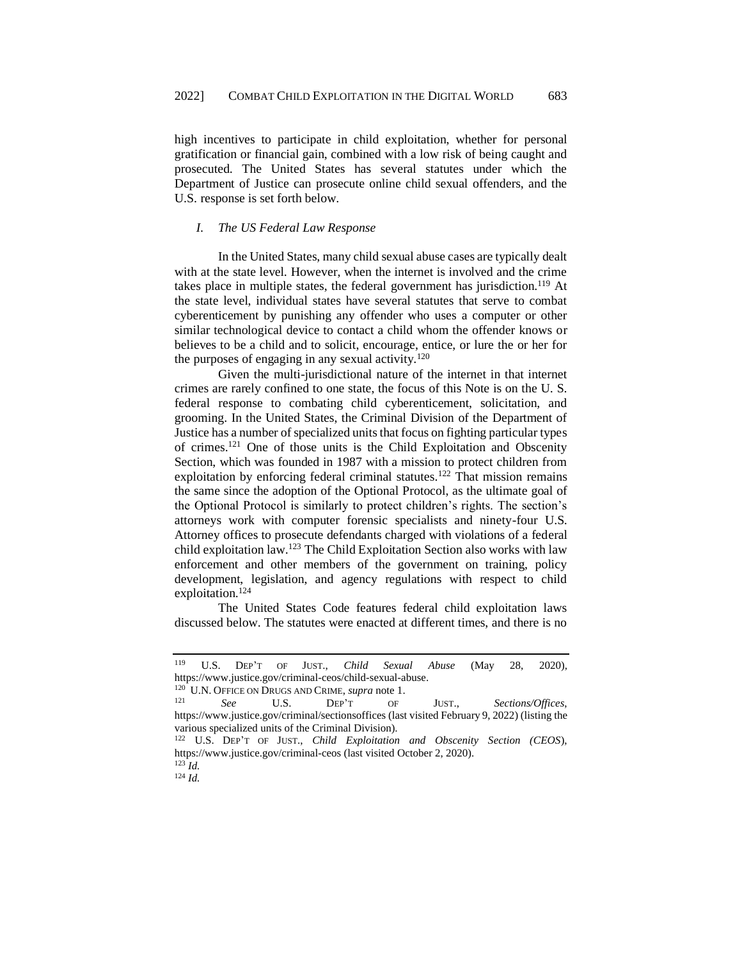high incentives to participate in child exploitation, whether for personal gratification or financial gain, combined with a low risk of being caught and prosecuted. The United States has several statutes under which the Department of Justice can prosecute online child sexual offenders, and the U.S. response is set forth below.

### <span id="page-13-0"></span>*I. The US Federal Law Response*

In the United States, many child sexual abuse cases are typically dealt with at the state level. However, when the internet is involved and the crime takes place in multiple states, the federal government has jurisdiction.<sup>119</sup> At the state level, individual states have several statutes that serve to combat cyberenticement by punishing any offender who uses a computer or other similar technological device to contact a child whom the offender knows or believes to be a child and to solicit, encourage, entice, or lure the or her for the purposes of engaging in any sexual activity.<sup>120</sup>

Given the multi-jurisdictional nature of the internet in that internet crimes are rarely confined to one state, the focus of this Note is on the U. S. federal response to combating child cyberenticement, solicitation, and grooming. In the United States, the Criminal Division of the Department of Justice has a number of specialized units that focus on fighting particular types of crimes.<sup>121</sup> One of those units is the Child Exploitation and Obscenity Section, which was founded in 1987 with a mission to protect children from exploitation by enforcing federal criminal statutes.<sup>122</sup> That mission remains the same since the adoption of the Optional Protocol, as the ultimate goal of the Optional Protocol is similarly to protect children's rights. The section's attorneys work with computer forensic specialists and ninety-four U.S. Attorney offices to prosecute defendants charged with violations of a federal child exploitation law.<sup>123</sup> The Child Exploitation Section also works with law enforcement and other members of the government on training, policy development, legislation, and agency regulations with respect to child exploitation.<sup>124</sup>

The United States Code features federal child exploitation laws discussed below. The statutes were enacted at different times, and there is no

<sup>119</sup> U.S. DEP'T OF JUST., *Child Sexual Abuse* (May 28, 2020), https://www.justice.gov/criminal-ceos/child-sexual-abuse.

<sup>&</sup>lt;sup>120</sup> U.N. OFFICE ON DRUGS AND CRIME, *supra* note 1.<br><sup>121</sup> Second LLS DEP<sup>2</sup> CF

<sup>121</sup> *See* U.S. DEP'T OF JUST., *Sections/Offices*, https://www.justice.gov/criminal/sectionsoffices (last visited February 9, 2022) (listing the various specialized units of the Criminal Division).

<sup>122</sup> U.S. DEP'T OF JUST., *Child Exploitation and Obscenity Section (CEOS*), <https://www.justice.gov/criminal-ceos> (last visited October 2, 2020). <sup>123</sup> *Id.*

<sup>124</sup> *Id.*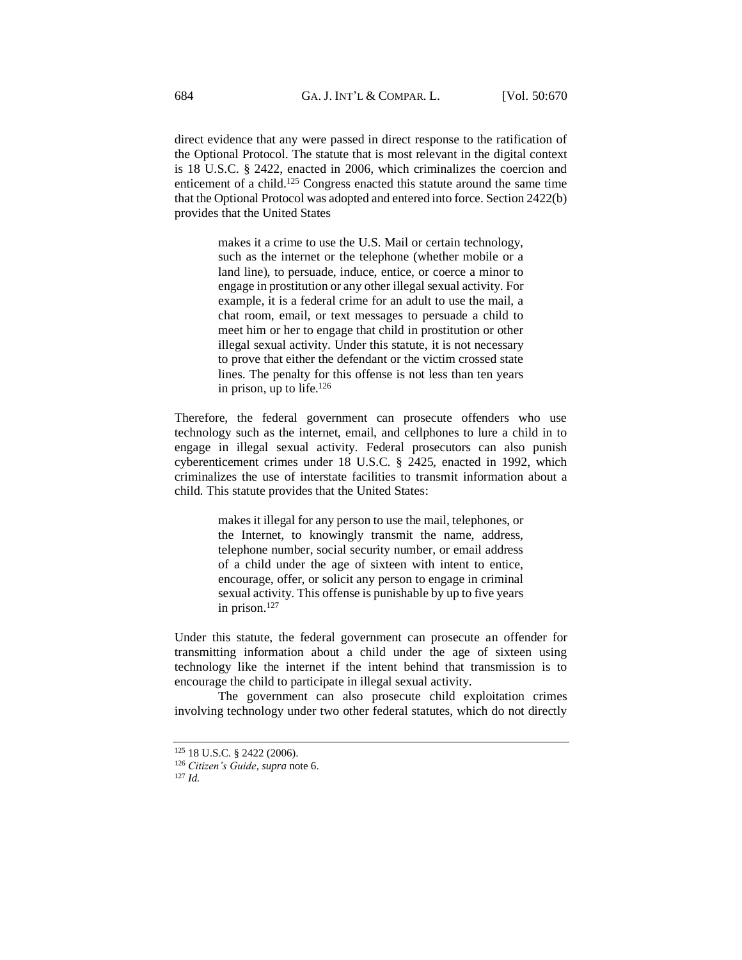direct evidence that any were passed in direct response to the ratification of the Optional Protocol. The statute that is most relevant in the digital context is 18 U.S.C. § 2422, enacted in 2006, which criminalizes the coercion and enticement of a child.<sup>125</sup> Congress enacted this statute around the same time that the Optional Protocol was adopted and entered into force. Section 2422(b) provides that the United States

> makes it a crime to use the U.S. Mail or certain technology, such as the internet or the telephone (whether mobile or a land line), to persuade, induce, entice, or coerce a minor to engage in prostitution or any other illegal sexual activity. For example, it is a federal crime for an adult to use the mail, a chat room, email, or text messages to persuade a child to meet him or her to engage that child in prostitution or other illegal sexual activity. Under this statute, it is not necessary to prove that either the defendant or the victim crossed state lines. The penalty for this offense is not less than ten years in prison, up to life. $126$

Therefore, the federal government can prosecute offenders who use technology such as the internet, email, and cellphones to lure a child in to engage in illegal sexual activity. Federal prosecutors can also punish cyberenticement crimes under 18 U.S.C. § 2425, enacted in 1992, which criminalizes the use of interstate facilities to transmit information about a child. This statute provides that the United States:

> makes it illegal for any person to use the mail, telephones, or the Internet, to knowingly transmit the name, address, telephone number, social security number, or email address of a child under the age of sixteen with intent to entice, encourage, offer, or solicit any person to engage in criminal sexual activity. This offense is punishable by up to five years in prison.<sup>127</sup>

Under this statute, the federal government can prosecute an offender for transmitting information about a child under the age of sixteen using technology like the internet if the intent behind that transmission is to encourage the child to participate in illegal sexual activity.

The government can also prosecute child exploitation crimes involving technology under two other federal statutes, which do not directly

<sup>125</sup> 18 U.S.C. § 2422 (2006).

<sup>126</sup> *Citizen's Guide*, *supra* note 6.

<sup>127</sup> *Id.*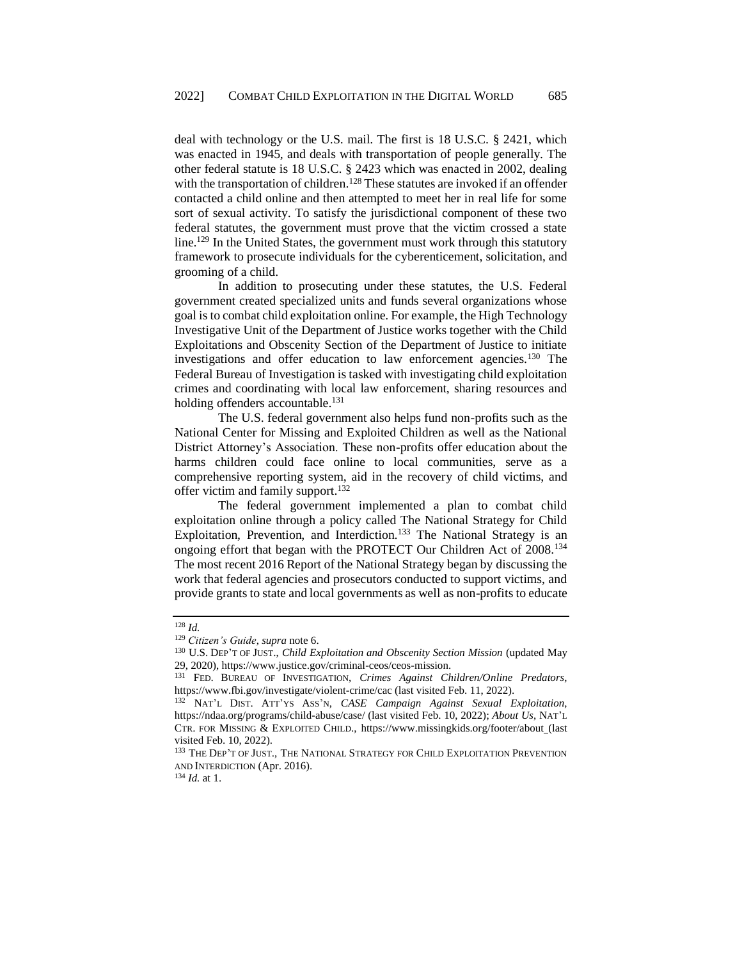deal with technology or the U.S. mail. The first is 18 U.S.C. § 2421, which was enacted in 1945, and deals with transportation of people generally. The other federal statute is 18 U.S.C. § 2423 which was enacted in 2002, dealing with the transportation of children.<sup>128</sup> These statutes are invoked if an offender contacted a child online and then attempted to meet her in real life for some sort of sexual activity. To satisfy the jurisdictional component of these two federal statutes, the government must prove that the victim crossed a state line.<sup>129</sup> In the United States, the government must work through this statutory framework to prosecute individuals for the cyberenticement, solicitation, and grooming of a child.

In addition to prosecuting under these statutes, the U.S. Federal government created specialized units and funds several organizations whose goal is to combat child exploitation online. For example, the High Technology Investigative Unit of the Department of Justice works together with the Child Exploitations and Obscenity Section of the Department of Justice to initiate investigations and offer education to law enforcement agencies.<sup>130</sup> The Federal Bureau of Investigation is tasked with investigating child exploitation crimes and coordinating with local law enforcement, sharing resources and holding offenders accountable.<sup>131</sup>

The U.S. federal government also helps fund non-profits such as the National Center for Missing and Exploited Children as well as the National District Attorney's Association. These non-profits offer education about the harms children could face online to local communities, serve as a comprehensive reporting system, aid in the recovery of child victims, and offer victim and family support.<sup>132</sup>

The federal government implemented a plan to combat child exploitation online through a policy called The National Strategy for Child Exploitation, Prevention, and Interdiction.<sup>133</sup> The National Strategy is an ongoing effort that began with the PROTECT Our Children Act of 2008.<sup>134</sup> The most recent 2016 Report of the National Strategy began by discussing the work that federal agencies and prosecutors conducted to support victims, and provide grants to state and local governments as well as non-profits to educate

<sup>134</sup> *Id.* at 1.

<sup>128</sup> *Id.*

<sup>129</sup> *Citizen's Guide*, *supra* note 6.

<sup>130</sup> U.S. DEP'T OF JUST., *Child Exploitation and Obscenity Section Mission* (updated May 29, 2020), https://www.justice.gov/criminal-ceos/ceos-mission.

<sup>131</sup> FED. BUREAU OF INVESTIGATION, *Crimes Against Children/Online Predators*, https://www.fbi.gov/investigate/violent-crime/cac (last visited Feb. 11, 2022).

<sup>132</sup> NAT'L DIST. ATT'YS ASS'N, *CASE Campaign Against Sexual Exploitation*, https://ndaa.org/programs/child-abuse/case/ (last visited Feb. 10, 2022); *About Us*, NAT'L CTR. FOR MISSING & EXPLOITED CHILD., https://www.missingkids.org/footer/about (last visited Feb. 10, 2022).

<sup>&</sup>lt;sup>133</sup> THE DEP'T OF JUST., THE NATIONAL STRATEGY FOR CHILD EXPLOITATION PREVENTION AND INTERDICTION (Apr. 2016).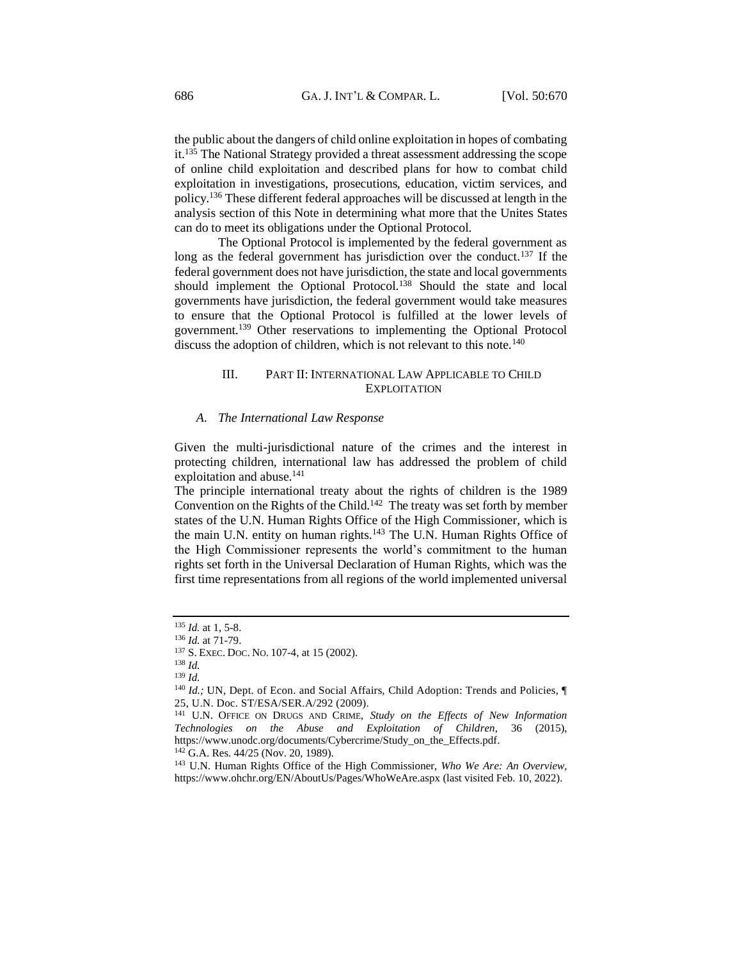the public about the dangers of child online exploitation in hopes of combating it.<sup>135</sup> The National Strategy provided a threat assessment addressing the scope of online child exploitation and described plans for how to combat child exploitation in investigations, prosecutions, education, victim services, and policy.<sup>136</sup> These different federal approaches will be discussed at length in the analysis section of this Note in determining what more that the Unites States can do to meet its obligations under the Optional Protocol.

The Optional Protocol is implemented by the federal government as long as the federal government has jurisdiction over the conduct.<sup>137</sup> If the federal government does not have jurisdiction, the state and local governments should implement the Optional Protocol.<sup>138</sup> Should the state and local governments have jurisdiction, the federal government would take measures to ensure that the Optional Protocol is fulfilled at the lower levels of government.<sup>139</sup> Other reservations to implementing the Optional Protocol discuss the adoption of children, which is not relevant to this note.<sup>140</sup>

# <span id="page-16-0"></span>III. PART II: INTERNATIONAL LAW APPLICABLE TO CHILD **EXPLOITATION**

#### <span id="page-16-1"></span>*A. The International Law Response*

Given the multi-jurisdictional nature of the crimes and the interest in protecting children, international law has addressed the problem of child exploitation and abuse.<sup>141</sup>

The principle international treaty about the rights of children is the 1989 Convention on the Rights of the Child.<sup>142</sup> The treaty was set forth by member states of the U.N. Human Rights Office of the High Commissioner, which is the main U.N. entity on human rights.<sup>143</sup> The U.N. Human Rights Office of the High Commissioner represents the world's commitment to the human rights set forth in the Universal Declaration of Human Rights, which was the first time representations from all regions of the world implemented universal

<sup>135</sup> *Id.* at 1, 5-8.

<sup>136</sup> *Id.* at 71-79.

<sup>137</sup> S. EXEC. DOC. NO. 107-4, at 15 (2002).

<sup>138</sup> *Id.*

<sup>139</sup> *Id.*

<sup>&</sup>lt;sup>140</sup> *Id.*; UN, Dept. of Econ. and Social Affairs, Child Adoption: Trends and Policies,  $\P$ 25, U.N. Doc. ST/ESA/SER.A/292 (2009).

<sup>141</sup> U.N. OFFICE ON DRUGS AND CRIME, *Study on the Effects of New Information Technologies on the Abuse and Exploitation of Children*, 36 (2015), [https://www.unodc.org/documents/Cybercrime/Study\\_on\\_the\\_Effects.pdf.](https://www.unodc.org/documents/Cybercrime/Study_on_the_Effects.pdf) <sup>142</sup> G.A. Res. 44/25 (Nov. 20, 1989).

<sup>143</sup> U.N. Human Rights Office of the High Commissioner, *Who We Are: An Overview,*

<https://www.ohchr.org/EN/AboutUs/Pages/WhoWeAre.aspx> (last visited Feb. 10, 2022).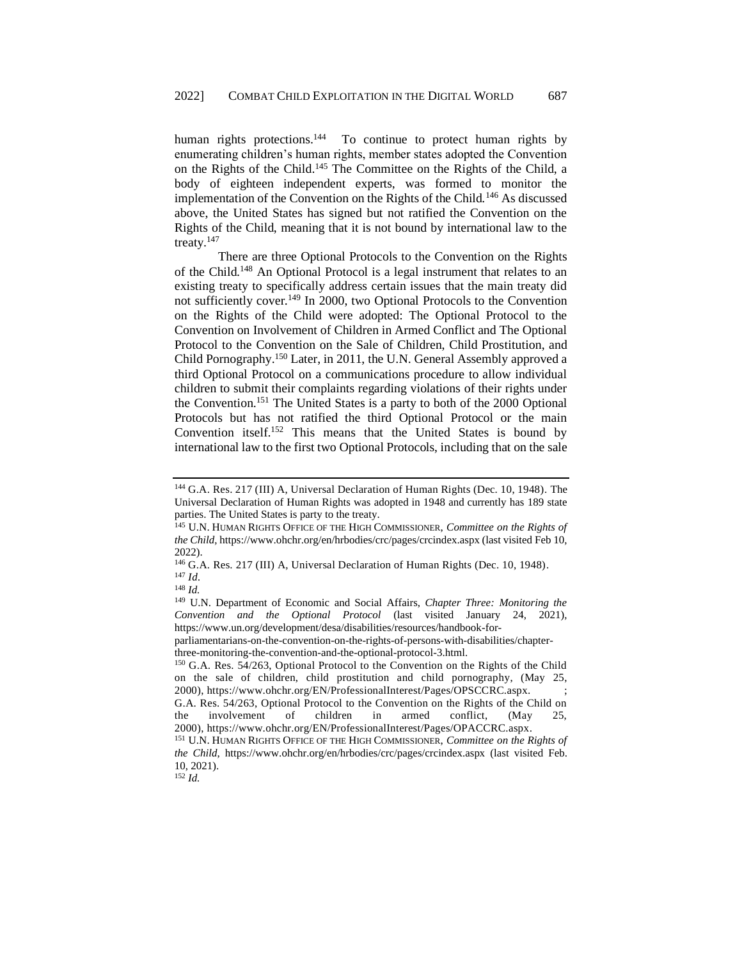human rights protections.<sup>144</sup> To continue to protect human rights by enumerating children's human rights, member states adopted the Convention on the Rights of the Child.<sup>145</sup> The Committee on the Rights of the Child, a body of eighteen independent experts, was formed to monitor the implementation of the Convention on the Rights of the Child.<sup>146</sup> As discussed above, the United States has signed but not ratified the Convention on the Rights of the Child, meaning that it is not bound by international law to the treaty.<sup>147</sup>

There are three Optional Protocols to the Convention on the Rights of the Child.<sup>148</sup> An Optional Protocol is a legal instrument that relates to an existing treaty to specifically address certain issues that the main treaty did not sufficiently cover.<sup>149</sup> In 2000, two Optional Protocols to the Convention on the Rights of the Child were adopted: The Optional Protocol to the Convention on Involvement of Children in Armed Conflict and The Optional Protocol to the Convention on the Sale of Children, Child Prostitution, and Child Pornography.<sup>150</sup> Later, in 2011, the U.N. General Assembly approved a third Optional Protocol on a communications procedure to allow individual children to submit their complaints regarding violations of their rights under the Convention.<sup>151</sup> The United States is a party to both of the 2000 Optional Protocols but has not ratified the third Optional Protocol or the main Convention itself.<sup>152</sup> This means that the United States is bound by international law to the first two Optional Protocols, including that on the sale

<sup>144</sup> G.A. Res. 217 (III) A, Universal Declaration of Human Rights (Dec. 10, 1948). The Universal Declaration of Human Rights was adopted in 1948 and currently has 189 state parties. The United States is party to the treaty.

<sup>145</sup> U.N. HUMAN RIGHTS OFFICE OF THE HIGH COMMISSIONER, *Committee on the Rights of the Child*[, https://www.ohchr.org/en/hrbodies/crc/pages/crcindex.aspx](https://www.ohchr.org/en/hrbodies/crc/pages/crcindex.aspx) (last visited Feb 10, 2022).

<sup>146</sup> G.A. Res. 217 (III) A, Universal Declaration of Human Rights (Dec. 10, 1948). <sup>147</sup> *Id.*

<sup>148</sup> *Id.*

<sup>149</sup> U.N. Department of Economic and Social Affairs, *Chapter Three: Monitoring the Convention and the Optional Protocol* (last visited January 24, 2021), [https://www.un.org/development/desa/disabilities/resources/handbook-for-](https://www.un.org/development/desa/disabilities/resources/handbook-for-parliamentarians-on-the-convention-on-the-rights-of-persons-with-disabilities/chapter-three-monitoring-the-convention-and-the-optional-protocol-3.html)

[parliamentarians-on-the-convention-on-the-rights-of-persons-with-disabilities/chapter](https://www.un.org/development/desa/disabilities/resources/handbook-for-parliamentarians-on-the-convention-on-the-rights-of-persons-with-disabilities/chapter-three-monitoring-the-convention-and-the-optional-protocol-3.html)[three-monitoring-the-convention-and-the-optional-protocol-3.html.](https://www.un.org/development/desa/disabilities/resources/handbook-for-parliamentarians-on-the-convention-on-the-rights-of-persons-with-disabilities/chapter-three-monitoring-the-convention-and-the-optional-protocol-3.html)

<sup>150</sup> G.A. Res. 54/263, Optional Protocol to the Convention on the Rights of the Child on the sale of children, child prostitution and child pornography, (May 25, 2000), [https://www.ohchr.org/EN/ProfessionalInterest/Pages/OPSCCRC.aspx.](https://www.google.com/url?q=https://www.ohchr.org/EN/ProfessionalInterest/Pages/OPSCCRC.aspx&sa=D&source=docs&ust=1645999199651242&usg=AOvVaw2Z_GeOx-0sko4Qg4Cw1xdl) ; G.A. Res. 54/263, Optional Protocol to the Convention on the Rights of the Child on the involvement of children in armed conflict, (May 25, 2000), [https://www.ohchr.org/EN/ProfessionalInterest/Pages/OPACCRC.aspx.](https://www.google.com/url?q=https://www.ohchr.org/EN/ProfessionalInterest/Pages/OPACCRC.aspx&sa=D&source=docs&ust=1645999199651399&usg=AOvVaw3vQ2T4gSg6oI3QIO-DZb5W)

<sup>151</sup> U.N. HUMAN RIGHTS OFFICE OF THE HIGH COMMISSIONER, *Committee on the Rights of the Child*,<https://www.ohchr.org/en/hrbodies/crc/pages/crcindex.aspx> (last visited Feb. 10, 2021).

 $152$  *Id.*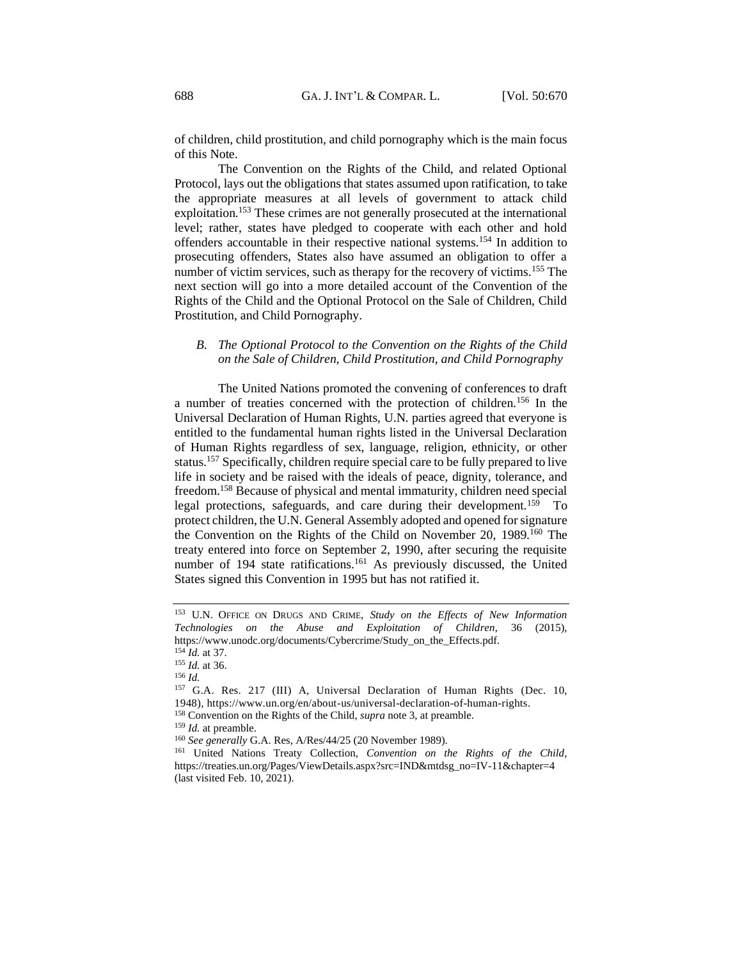of children, child prostitution, and child pornography which is the main focus of this Note.

The Convention on the Rights of the Child, and related Optional Protocol, lays out the obligations that states assumed upon ratification, to take the appropriate measures at all levels of government to attack child exploitation.<sup>153</sup> These crimes are not generally prosecuted at the international level; rather, states have pledged to cooperate with each other and hold offenders accountable in their respective national systems.<sup>154</sup> In addition to prosecuting offenders, States also have assumed an obligation to offer a number of victim services, such as therapy for the recovery of victims.<sup>155</sup> The next section will go into a more detailed account of the Convention of the Rights of the Child and the Optional Protocol on the Sale of Children, Child Prostitution, and Child Pornography.

# <span id="page-18-0"></span>*B. The Optional Protocol to the Convention on the Rights of the Child on the Sale of Children, Child Prostitution, and Child Pornography*

The United Nations promoted the convening of conferences to draft a number of treaties concerned with the protection of children.<sup>156</sup> In the Universal Declaration of Human Rights, U.N. parties agreed that everyone is entitled to the fundamental human rights listed in the Universal Declaration of Human Rights regardless of sex, language, religion, ethnicity, or other status.<sup>157</sup> Specifically, children require special care to be fully prepared to live life in society and be raised with the ideals of peace, dignity, tolerance, and freedom.<sup>158</sup> Because of physical and mental immaturity, children need special legal protections, safeguards, and care during their development.<sup>159</sup> To protect children, the U.N. General Assembly adopted and opened for signature the Convention on the Rights of the Child on November 20, 1989.<sup>160</sup> The treaty entered into force on September 2, 1990, after securing the requisite number of 194 state ratifications.<sup>161</sup> As previously discussed, the United States signed this Convention in 1995 but has not ratified it.

<sup>153</sup> U.N. OFFICE ON DRUGS AND CRIME, *Study on the Effects of New Information Technologies on the Abuse and Exploitation of Children*, 36 (2015), [https://www.unodc.org/documents/Cybercrime/Study\\_on\\_the\\_Effects.pdf](https://www.unodc.org/documents/Cybercrime/Study_on_the_Effects.pdf)*.*

<sup>154</sup> *Id.* at 37.

<sup>155</sup> *Id.* at 36.

<sup>156</sup> *Id.*

<sup>157</sup> G.A. Res. 217 (III) A, Universal Declaration of Human Rights (Dec. 10, 1948), [https://www.un.org/en/about-us/universal-declaration-of-human-rights.](https://www.google.com/url?q=https://www.un.org/en/about-us/universal-declaration-of-human-rights&sa=D&source=docs&ust=1645999199637899&usg=AOvVaw35TIMVyncZshJfyrv-w_-8) <sup>158</sup> Convention on the Rights of the Child, *supra* note 3, at preamble.

<sup>159</sup> *Id.* at preamble.

<sup>160</sup> *See generally* G.A. Res, A/Res/44/25 (20 November 1989).

<sup>161</sup> United Nations Treaty Collection, *Convention on the Rights of the Child*, https://treaties.un.org/Pages/ViewDetails.aspx?src=IND&mtdsg\_no=IV-11&chapter=4 (last visited Feb. 10, 2021).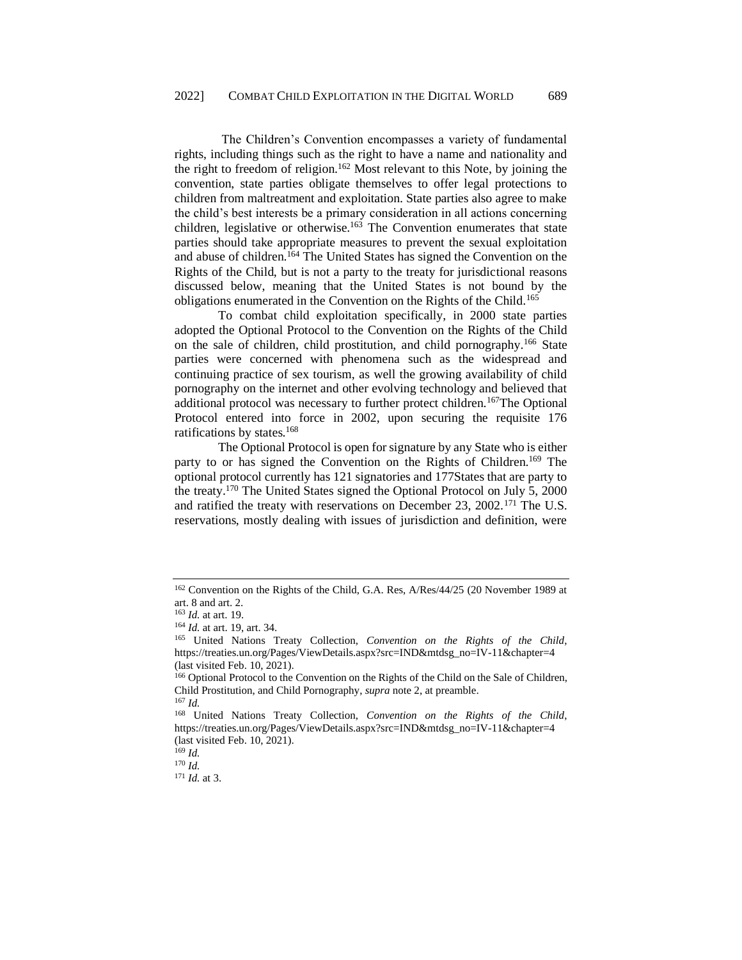The Children's Convention encompasses a variety of fundamental rights, including things such as the right to have a name and nationality and the right to freedom of religion.<sup>162</sup> Most relevant to this Note, by joining the convention, state parties obligate themselves to offer legal protections to children from maltreatment and exploitation. State parties also agree to make the child's best interests be a primary consideration in all actions concerning children, legislative or otherwise.<sup>163</sup> The Convention enumerates that state parties should take appropriate measures to prevent the sexual exploitation and abuse of children.<sup>164</sup> The United States has signed the Convention on the Rights of the Child, but is not a party to the treaty for jurisdictional reasons discussed below, meaning that the United States is not bound by the obligations enumerated in the Convention on the Rights of the Child.<sup>165</sup>

To combat child exploitation specifically, in 2000 state parties adopted the Optional Protocol to the Convention on the Rights of the Child on the sale of children, child prostitution, and child pornography.<sup>166</sup> State parties were concerned with phenomena such as the widespread and continuing practice of sex tourism, as well the growing availability of child pornography on the internet and other evolving technology and believed that additional protocol was necessary to further protect children.<sup>167</sup>The Optional Protocol entered into force in 2002, upon securing the requisite 176 ratifications by states.<sup>168</sup>

The Optional Protocol is open for signature by any State who is either party to or has signed the Convention on the Rights of Children.<sup>169</sup> The optional protocol currently has 121 signatories and 177States that are party to the treaty.<sup>170</sup> The United States signed the Optional Protocol on July 5, 2000 and ratified the treaty with reservations on December 23, 2002.<sup>171</sup> The U.S. reservations, mostly dealing with issues of jurisdiction and definition, were

<sup>170</sup> *Id.*

<sup>&</sup>lt;sup>162</sup> Convention on the Rights of the Child, G.A. Res, A/Res/44/25 (20 November 1989 at art. 8 and art. 2.

<sup>163</sup> *Id.* at art. 19.

<sup>164</sup> *Id.* at art. 19, art. 34.

<sup>165</sup> United Nations Treaty Collection, *Convention on the Rights of the Child*, https://treaties.un.org/Pages/ViewDetails.aspx?src=IND&mtdsg\_no=IV-11&chapter=4 (last visited Feb. 10, 2021).

<sup>166</sup> Optional Protocol to the Convention on the Rights of the Child on the Sale of Children, Child Prostitution, and Child Pornography, *supra* note 2, at preamble. <sup>167</sup> *Id.*

<sup>168</sup> United Nations Treaty Collection, *Convention on the Rights of the Child*, https://treaties.un.org/Pages/ViewDetails.aspx?src=IND&mtdsg\_no=IV-11&chapter=4 (last visited Feb. 10, 2021).

<sup>169</sup> *Id.*

<sup>171</sup> *Id.* at 3.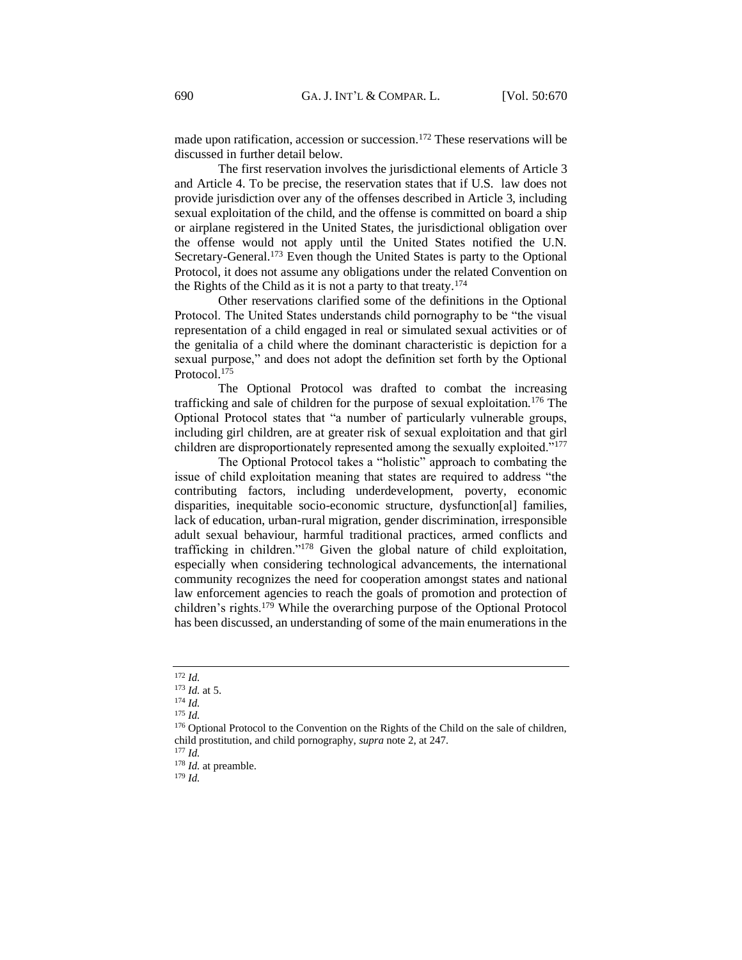made upon ratification, accession or succession.<sup>172</sup> These reservations will be discussed in further detail below.

The first reservation involves the jurisdictional elements of Article 3 and Article 4. To be precise, the reservation states that if U.S. law does not provide jurisdiction over any of the offenses described in Article 3, including sexual exploitation of the child, and the offense is committed on board a ship or airplane registered in the United States, the jurisdictional obligation over the offense would not apply until the United States notified the U.N. Secretary-General.<sup>173</sup> Even though the United States is party to the Optional Protocol, it does not assume any obligations under the related Convention on the Rights of the Child as it is not a party to that treaty.<sup>174</sup>

Other reservations clarified some of the definitions in the Optional Protocol. The United States understands child pornography to be "the visual representation of a child engaged in real or simulated sexual activities or of the genitalia of a child where the dominant characteristic is depiction for a sexual purpose," and does not adopt the definition set forth by the Optional Protocol.<sup>175</sup>

The Optional Protocol was drafted to combat the increasing trafficking and sale of children for the purpose of sexual exploitation.<sup>176</sup> The Optional Protocol states that "a number of particularly vulnerable groups, including girl children, are at greater risk of sexual exploitation and that girl children are disproportionately represented among the sexually exploited."<sup>177</sup>

The Optional Protocol takes a "holistic" approach to combating the issue of child exploitation meaning that states are required to address "the contributing factors, including underdevelopment, poverty, economic disparities, inequitable socio-economic structure, dysfunction[al] families, lack of education, urban-rural migration, gender discrimination, irresponsible adult sexual behaviour, harmful traditional practices, armed conflicts and trafficking in children."<sup>178</sup> Given the global nature of child exploitation, especially when considering technological advancements, the international community recognizes the need for cooperation amongst states and national law enforcement agencies to reach the goals of promotion and protection of children's rights.<sup>179</sup> While the overarching purpose of the Optional Protocol has been discussed, an understanding of some of the main enumerations in the

<sup>179</sup> *Id.* 

<sup>172</sup> *Id.*

<sup>173</sup> *Id.* at 5.

<sup>174</sup> *Id.*

<sup>175</sup> *Id.*

<sup>&</sup>lt;sup>176</sup> Optional Protocol to the Convention on the Rights of the Child on the sale of children, child prostitution, and child pornography, *supra* note 2, at 247*.*

<sup>177</sup> *Id.*

<sup>&</sup>lt;sup>178</sup> *Id.* at preamble.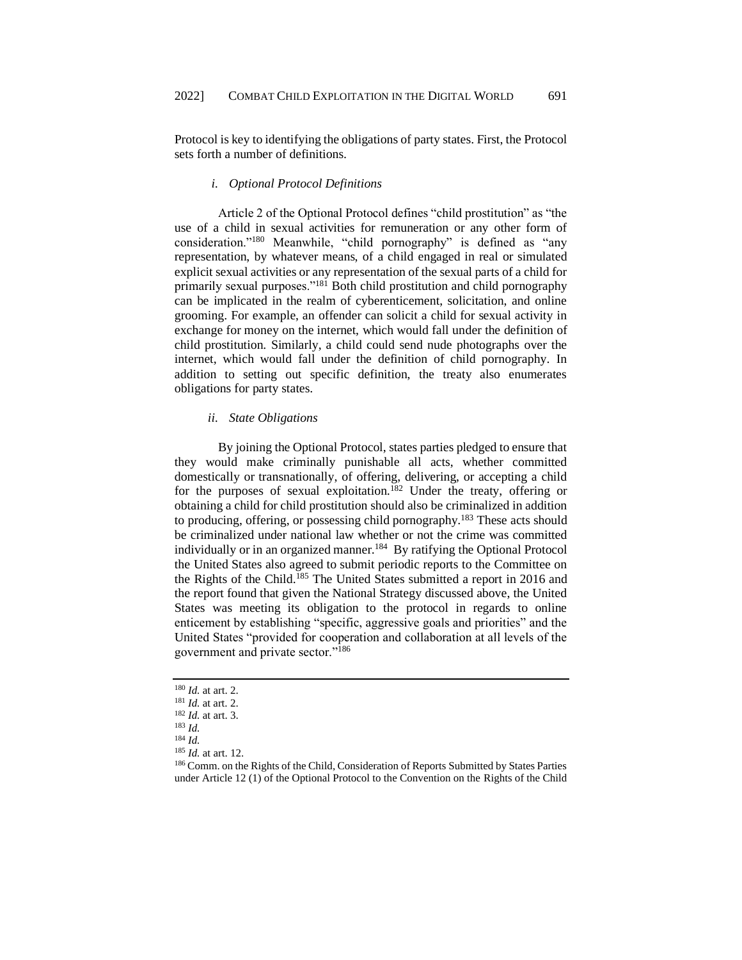Protocol is key to identifying the obligations of party states. First, the Protocol sets forth a number of definitions.

# *i. Optional Protocol Definitions*

<span id="page-21-0"></span>Article 2 of the Optional Protocol defines "child prostitution" as "the use of a child in sexual activities for remuneration or any other form of consideration."<sup>180</sup> Meanwhile, "child pornography" is defined as "any representation, by whatever means, of a child engaged in real or simulated explicit sexual activities or any representation of the sexual parts of a child for primarily sexual purposes."<sup>181</sup> Both child prostitution and child pornography can be implicated in the realm of cyberenticement, solicitation, and online grooming. For example, an offender can solicit a child for sexual activity in exchange for money on the internet, which would fall under the definition of child prostitution. Similarly, a child could send nude photographs over the internet, which would fall under the definition of child pornography. In addition to setting out specific definition, the treaty also enumerates obligations for party states.

### *ii. State Obligations*

<span id="page-21-1"></span>By joining the Optional Protocol, states parties pledged to ensure that they would make criminally punishable all acts, whether committed domestically or transnationally, of offering, delivering, or accepting a child for the purposes of sexual exploitation.<sup>182</sup> Under the treaty, offering or obtaining a child for child prostitution should also be criminalized in addition to producing, offering, or possessing child pornography.<sup>183</sup> These acts should be criminalized under national law whether or not the crime was committed individually or in an organized manner.<sup>184</sup> By ratifying the Optional Protocol the United States also agreed to submit periodic reports to the Committee on the Rights of the Child.<sup>185</sup> The United States submitted a report in 2016 and the report found that given the National Strategy discussed above, the United States was meeting its obligation to the protocol in regards to online enticement by establishing "specific, aggressive goals and priorities" and the United States "provided for cooperation and collaboration at all levels of the government and private sector."<sup>186</sup>

<sup>180</sup> *Id.* at art. 2.

<sup>181</sup> *Id.* at art. 2.

<sup>182</sup> *Id.* at art. 3.

<sup>183</sup> *Id.*

<sup>184</sup> *Id.*

<sup>185</sup> *Id.* at art. 12.

<sup>186</sup> Comm. on the Rights of the Child, Consideration of Reports Submitted by States Parties under Article 12 (1) of the Optional Protocol to the Convention on the Rights of the Child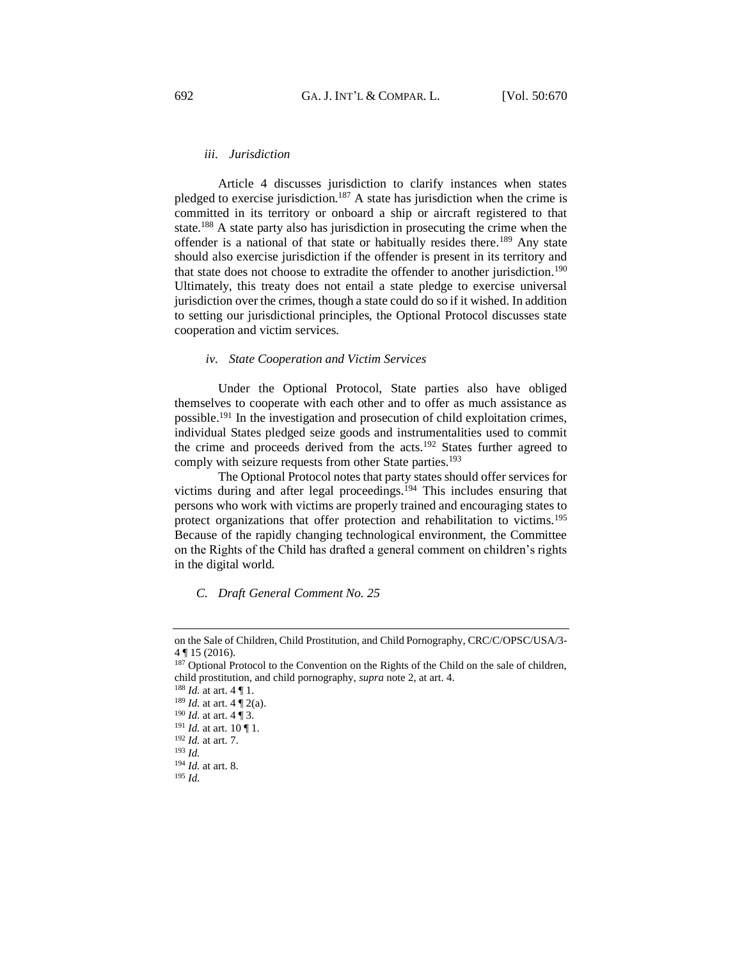# *iii. Jurisdiction*

<span id="page-22-0"></span>Article 4 discusses jurisdiction to clarify instances when states pledged to exercise jurisdiction.<sup>187</sup> A state has jurisdiction when the crime is committed in its territory or onboard a ship or aircraft registered to that state.<sup>188</sup> A state party also has jurisdiction in prosecuting the crime when the offender is a national of that state or habitually resides there.<sup>189</sup> Any state should also exercise jurisdiction if the offender is present in its territory and that state does not choose to extradite the offender to another jurisdiction.<sup>190</sup> Ultimately, this treaty does not entail a state pledge to exercise universal jurisdiction over the crimes, though a state could do so if it wished. In addition to setting our jurisdictional principles, the Optional Protocol discusses state cooperation and victim services.

# *iv. State Cooperation and Victim Services*

<span id="page-22-1"></span>Under the Optional Protocol, State parties also have obliged themselves to cooperate with each other and to offer as much assistance as possible.<sup>191</sup> In the investigation and prosecution of child exploitation crimes, individual States pledged seize goods and instrumentalities used to commit the crime and proceeds derived from the acts.<sup>192</sup> States further agreed to comply with seizure requests from other State parties.<sup>193</sup>

The Optional Protocol notes that party states should offer services for victims during and after legal proceedings.<sup>194</sup> This includes ensuring that persons who work with victims are properly trained and encouraging states to protect organizations that offer protection and rehabilitation to victims.<sup>195</sup> Because of the rapidly changing technological environment, the Committee on the Rights of the Child has drafted a general comment on children's rights in the digital world.

# <span id="page-22-2"></span>*C. Draft General Comment No. 25*

on the Sale of Children, Child Prostitution, and Child Pornography, CRC/C/OPSC/USA/3- 4 ¶ 15 (2016).

 $187$  Optional Protocol to the Convention on the Rights of the Child on the sale of children, child prostitution, and child pornography, *supra* note 2, at art. 4.

<sup>188</sup> *Id.* at art. 4 ¶ 1.

<sup>189</sup> *Id.* at art. 4 ¶ 2(a).

<sup>190</sup> *Id.* at art. 4 ¶ 3.

<sup>191</sup> *Id.* at art. 10 ¶ 1.

<sup>192</sup> *Id.* at art. 7.

<sup>193</sup> *Id.*

<sup>194</sup> *Id.* at art. 8.

<sup>195</sup> *Id.*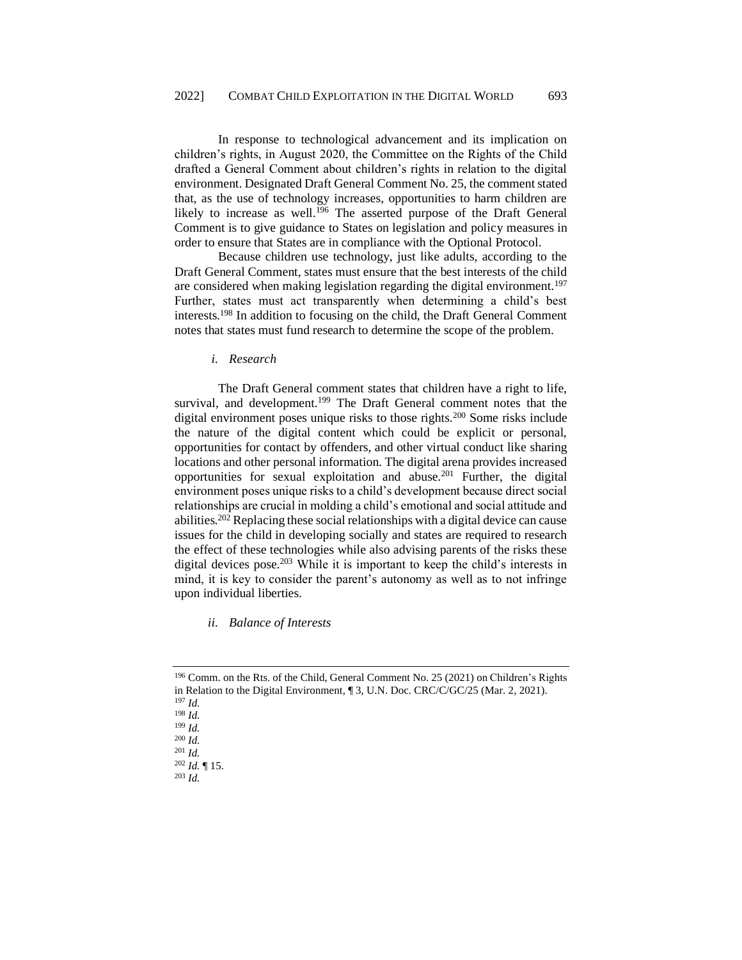In response to technological advancement and its implication on children's rights, in August 2020, the Committee on the Rights of the Child drafted a General Comment about children's rights in relation to the digital environment. Designated Draft General Comment No. 25, the comment stated that, as the use of technology increases, opportunities to harm children are likely to increase as well.<sup>196</sup> The asserted purpose of the Draft General Comment is to give guidance to States on legislation and policy measures in order to ensure that States are in compliance with the Optional Protocol.

Because children use technology, just like adults, according to the Draft General Comment, states must ensure that the best interests of the child are considered when making legislation regarding the digital environment.<sup>197</sup> Further, states must act transparently when determining a child's best interests.<sup>198</sup> In addition to focusing on the child, the Draft General Comment notes that states must fund research to determine the scope of the problem.

*i. Research* 

<span id="page-23-0"></span>The Draft General comment states that children have a right to life, survival, and development.<sup>199</sup> The Draft General comment notes that the digital environment poses unique risks to those rights.<sup>200</sup> Some risks include the nature of the digital content which could be explicit or personal, opportunities for contact by offenders, and other virtual conduct like sharing locations and other personal information. The digital arena provides increased opportunities for sexual exploitation and abuse.<sup>201</sup> Further, the digital environment poses unique risks to a child's development because direct social relationships are crucial in molding a child's emotional and social attitude and abilities.<sup>202</sup> Replacing these social relationships with a digital device can cause issues for the child in developing socially and states are required to research the effect of these technologies while also advising parents of the risks these digital devices pose.<sup>203</sup> While it is important to keep the child's interests in mind, it is key to consider the parent's autonomy as well as to not infringe upon individual liberties.

<span id="page-23-1"></span>*ii. Balance of Interests*

<sup>196</sup> Comm. on the Rts. of the Child, General Comment No. 25 (2021) on Children's Rights in Relation to the Digital Environment*,* ¶ 3, U.N. Doc. CRC/C/GC/25 (Mar. 2, 2021). <sup>197</sup> *Id.* <sup>198</sup> *Id.*

<sup>199</sup> *Id.* 

<sup>200</sup> *Id.*

<sup>201</sup> *Id.*

<sup>202</sup> *Id.* ¶ 15.

<sup>203</sup> *Id.*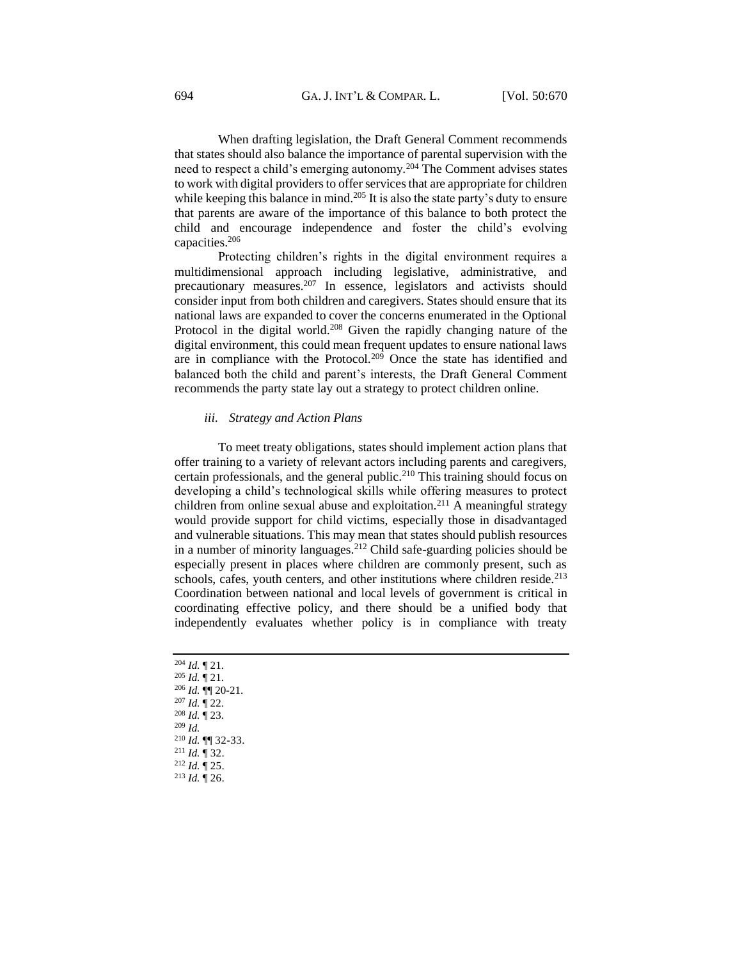When drafting legislation, the Draft General Comment recommends that states should also balance the importance of parental supervision with the need to respect a child's emerging autonomy.<sup>204</sup> The Comment advises states to work with digital providers to offer services that are appropriate for children while keeping this balance in mind.<sup>205</sup> It is also the state party's duty to ensure that parents are aware of the importance of this balance to both protect the child and encourage independence and foster the child's evolving capacities.<sup>206</sup>

Protecting children's rights in the digital environment requires a multidimensional approach including legislative, administrative, and precautionary measures.<sup>207</sup> In essence, legislators and activists should consider input from both children and caregivers. States should ensure that its national laws are expanded to cover the concerns enumerated in the Optional Protocol in the digital world.<sup>208</sup> Given the rapidly changing nature of the digital environment, this could mean frequent updates to ensure national laws are in compliance with the Protocol.<sup>209</sup> Once the state has identified and balanced both the child and parent's interests, the Draft General Comment recommends the party state lay out a strategy to protect children online.

#### *iii. Strategy and Action Plans*

<span id="page-24-0"></span>To meet treaty obligations, states should implement action plans that offer training to a variety of relevant actors including parents and caregivers, certain professionals, and the general public.<sup>210</sup> This training should focus on developing a child's technological skills while offering measures to protect children from online sexual abuse and exploitation.<sup>211</sup> A meaningful strategy would provide support for child victims, especially those in disadvantaged and vulnerable situations. This may mean that states should publish resources in a number of minority languages.<sup>212</sup> Child safe-guarding policies should be especially present in places where children are commonly present, such as schools, cafes, youth centers, and other institutions where children reside.<sup>213</sup> Coordination between national and local levels of government is critical in coordinating effective policy, and there should be a unified body that independently evaluates whether policy is in compliance with treaty

 *Id.* ¶ 21. *Id.* ¶ 21. *Id.* ¶¶ 20-21. *Id.* ¶ 22. *Id.* ¶ 23. <sup>209</sup> *Id. Id.* ¶¶ 32-33. *Id.* ¶ 32. *Id.* ¶ 25. <sup>213</sup> *Id.* ¶ 26.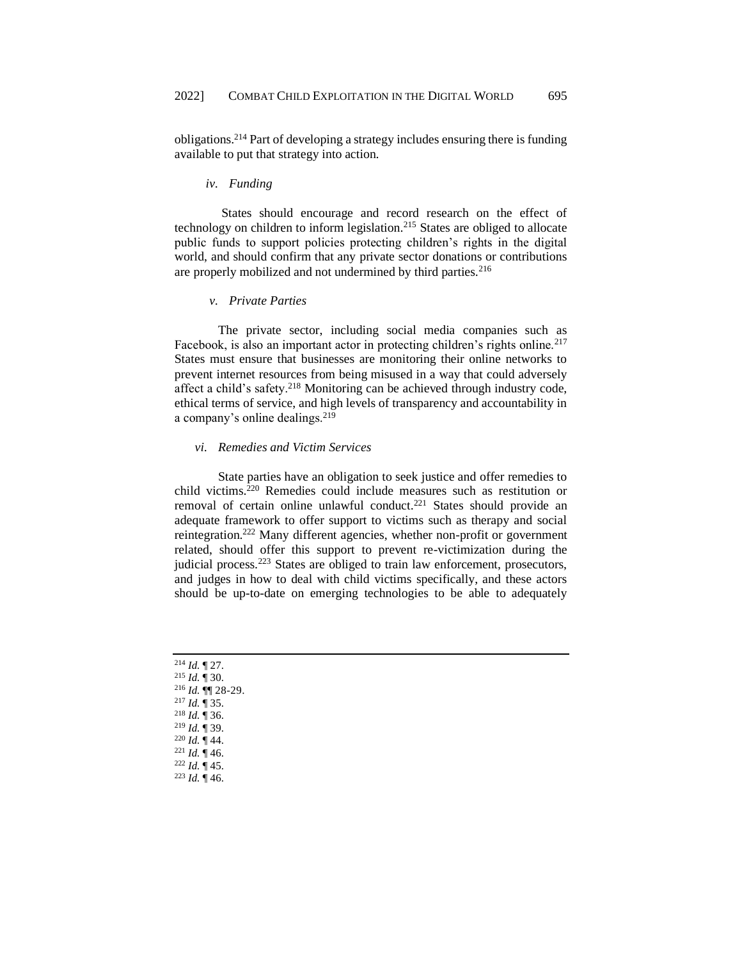obligations.<sup>214</sup> Part of developing a strategy includes ensuring there is funding available to put that strategy into action.

### *iv. Funding*

<span id="page-25-0"></span>States should encourage and record research on the effect of technology on children to inform legislation.<sup>215</sup> States are obliged to allocate public funds to support policies protecting children's rights in the digital world, and should confirm that any private sector donations or contributions are properly mobilized and not undermined by third parties.<sup>216</sup>

# *v. Private Parties*

<span id="page-25-1"></span>The private sector, including social media companies such as Facebook, is also an important actor in protecting children's rights online.<sup>217</sup> States must ensure that businesses are monitoring their online networks to prevent internet resources from being misused in a way that could adversely affect a child's safety.<sup>218</sup> Monitoring can be achieved through industry code, ethical terms of service, and high levels of transparency and accountability in a company's online dealings.<sup>219</sup>

### <span id="page-25-2"></span>*vi. Remedies and Victim Services*

State parties have an obligation to seek justice and offer remedies to child victims.<sup>220</sup> Remedies could include measures such as restitution or removal of certain online unlawful conduct.<sup>221</sup> States should provide an adequate framework to offer support to victims such as therapy and social reintegration.<sup>222</sup> Many different agencies, whether non-profit or government related, should offer this support to prevent re-victimization during the judicial process.<sup>223</sup> States are obliged to train law enforcement, prosecutors, and judges in how to deal with child victims specifically, and these actors should be up-to-date on emerging technologies to be able to adequately

 *Id.* ¶ 27. *Id.* ¶ 30. *Id.* ¶¶ 28-29. *Id.* ¶ 35. *Id.* ¶ 36. *Id.* ¶ 39. *Id.* ¶ 44. *Id.* ¶ 46. *Id.* ¶ 45. <sup>223</sup> *Id.* ¶ 46.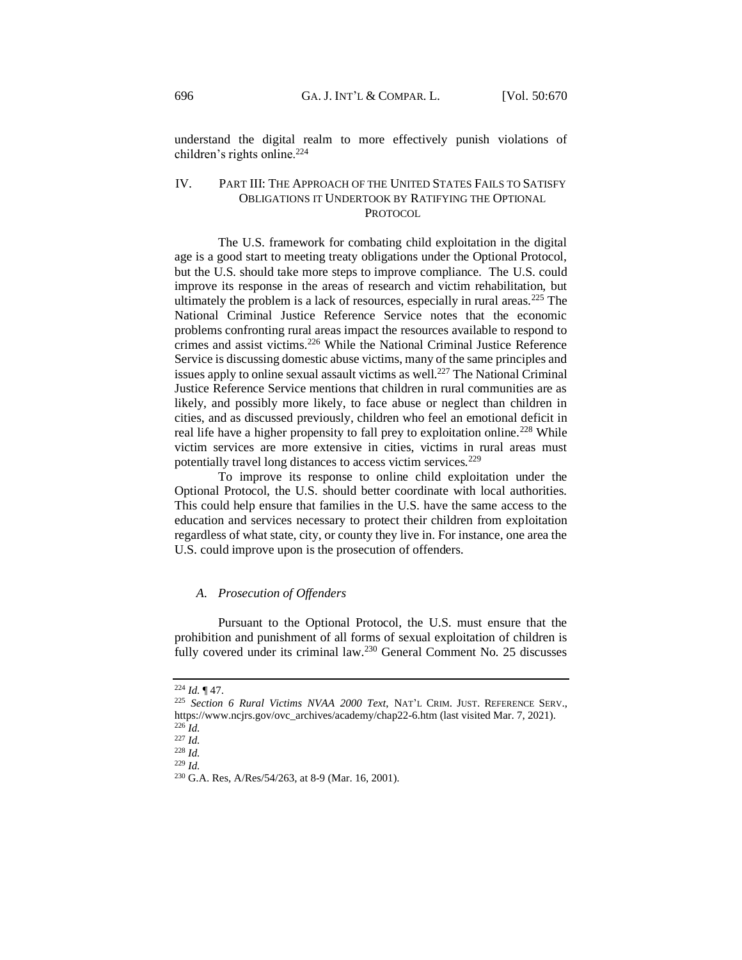understand the digital realm to more effectively punish violations of children's rights online.<sup>224</sup>

# <span id="page-26-0"></span>IV. PART III: THE APPROACH OF THE UNITED STATES FAILS TO SATISFY OBLIGATIONS IT UNDERTOOK BY RATIFYING THE OPTIONAL **PROTOCOL**

The U.S. framework for combating child exploitation in the digital age is a good start to meeting treaty obligations under the Optional Protocol, but the U.S. should take more steps to improve compliance. The U.S. could improve its response in the areas of research and victim rehabilitation, but ultimately the problem is a lack of resources, especially in rural areas.<sup>225</sup> The National Criminal Justice Reference Service notes that the economic problems confronting rural areas impact the resources available to respond to crimes and assist victims.<sup>226</sup> While the National Criminal Justice Reference Service is discussing domestic abuse victims, many of the same principles and issues apply to online sexual assault victims as well.<sup>227</sup> The National Criminal Justice Reference Service mentions that children in rural communities are as likely, and possibly more likely, to face abuse or neglect than children in cities, and as discussed previously, children who feel an emotional deficit in real life have a higher propensity to fall prey to exploitation online.<sup>228</sup> While victim services are more extensive in cities, victims in rural areas must potentially travel long distances to access victim services.<sup>229</sup>

To improve its response to online child exploitation under the Optional Protocol, the U.S. should better coordinate with local authorities. This could help ensure that families in the U.S. have the same access to the education and services necessary to protect their children from exploitation regardless of what state, city, or county they live in. For instance, one area the U.S. could improve upon is the prosecution of offenders.

# <span id="page-26-1"></span>*A. Prosecution of Offenders*

Pursuant to the Optional Protocol, the U.S. must ensure that the prohibition and punishment of all forms of sexual exploitation of children is fully covered under its criminal law.<sup>230</sup> General Comment No. 25 discusses

<sup>224</sup> *Id.* ¶ 47.

<sup>225</sup> *Section 6 Rural Victims NVAA 2000 Text*, NAT'L CRIM. JUST. REFERENCE SERV., [https://www.ncjrs.gov/ovc\\_archives/academy/chap22-6.htm](https://www.ncjrs.gov/ovc_archives/academy/chap22-6.htm) (last visited Mar. 7, 2021). <sup>226</sup> *Id.*

<sup>227</sup> *Id.*

<sup>228</sup> *Id.*

<sup>229</sup> *Id.*

<sup>230</sup> G.A. Res, A/Res/54/263, at 8-9 (Mar. 16, 2001).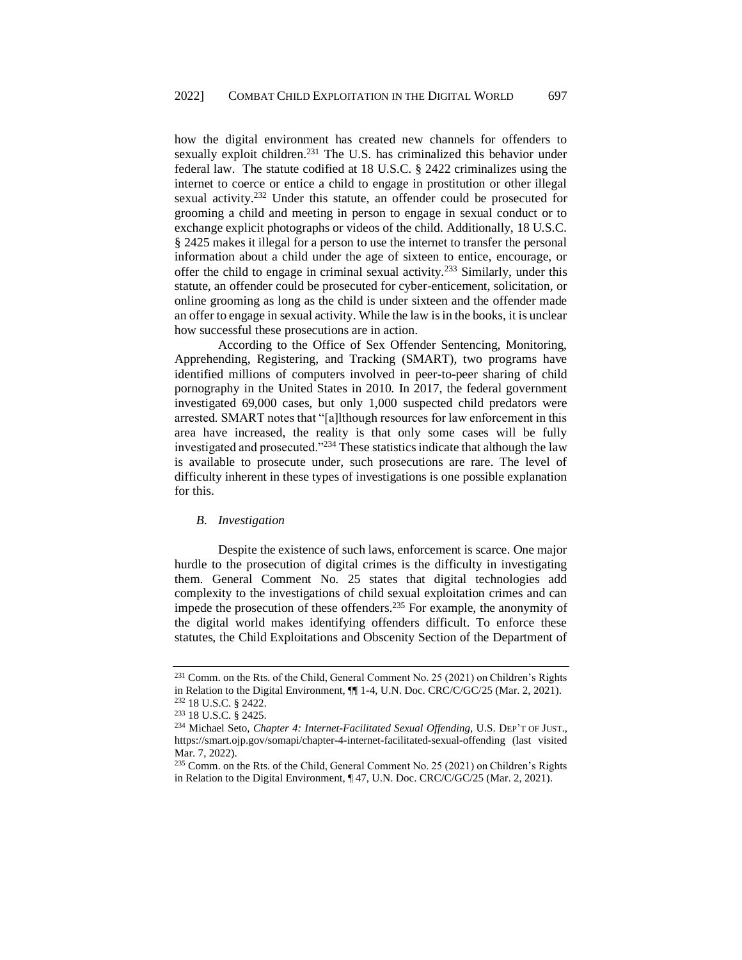how the digital environment has created new channels for offenders to sexually exploit children.<sup>231</sup> The U.S. has criminalized this behavior under federal law. The statute codified at 18 U.S.C. § 2422 criminalizes using the internet to coerce or entice a child to engage in prostitution or other illegal sexual activity.<sup>232</sup> Under this statute, an offender could be prosecuted for grooming a child and meeting in person to engage in sexual conduct or to exchange explicit photographs or videos of the child. Additionally, 18 U.S.C. § 2425 makes it illegal for a person to use the internet to transfer the personal information about a child under the age of sixteen to entice, encourage, or offer the child to engage in criminal sexual activity.<sup>233</sup> Similarly, under this statute, an offender could be prosecuted for cyber-enticement, solicitation, or online grooming as long as the child is under sixteen and the offender made an offer to engage in sexual activity. While the law is in the books, it is unclear how successful these prosecutions are in action.

According to the Office of Sex Offender Sentencing, Monitoring, Apprehending, Registering, and Tracking (SMART), two programs have identified millions of computers involved in peer-to-peer sharing of child pornography in the United States in 2010. In 2017, the federal government investigated 69,000 cases, but only 1,000 suspected child predators were arrested. SMART notes that "[a]lthough resources for law enforcement in this area have increased, the reality is that only some cases will be fully investigated and prosecuted."<sup>234</sup> These statistics indicate that although the law is available to prosecute under, such prosecutions are rare. The level of difficulty inherent in these types of investigations is one possible explanation for this.

#### <span id="page-27-0"></span>*B. Investigation*

Despite the existence of such laws, enforcement is scarce. One major hurdle to the prosecution of digital crimes is the difficulty in investigating them. General Comment No. 25 states that digital technologies add complexity to the investigations of child sexual exploitation crimes and can impede the prosecution of these offenders.<sup>235</sup> For example, the anonymity of the digital world makes identifying offenders difficult. To enforce these statutes, the Child Exploitations and Obscenity Section of the Department of

<sup>231</sup> Comm. on the Rts. of the Child, General Comment No. 25 (2021) on Children's Rights in Relation to the Digital Environment, ¶¶ 1-4, U.N. Doc. CRC/C/GC/25 (Mar. 2, 2021). <sup>232</sup> 18 U.S.C. § 2422.

<sup>233</sup> 18 U.S.C. § 2425.

<sup>234</sup> Michael Seto, *Chapter 4: Internet-Facilitated Sexual Offending*, U.S. DEP'T OF JUST., <https://smart.ojp.gov/somapi/chapter-4-internet-facilitated-sexual-offending> (last visited Mar. 7, 2022).

 $^{235}$  Comm. on the Rts. of the Child, General Comment No. 25 (2021) on Children's Rights in Relation to the Digital Environment, ¶ 47, U.N. Doc. CRC/C/GC/25 (Mar. 2, 2021).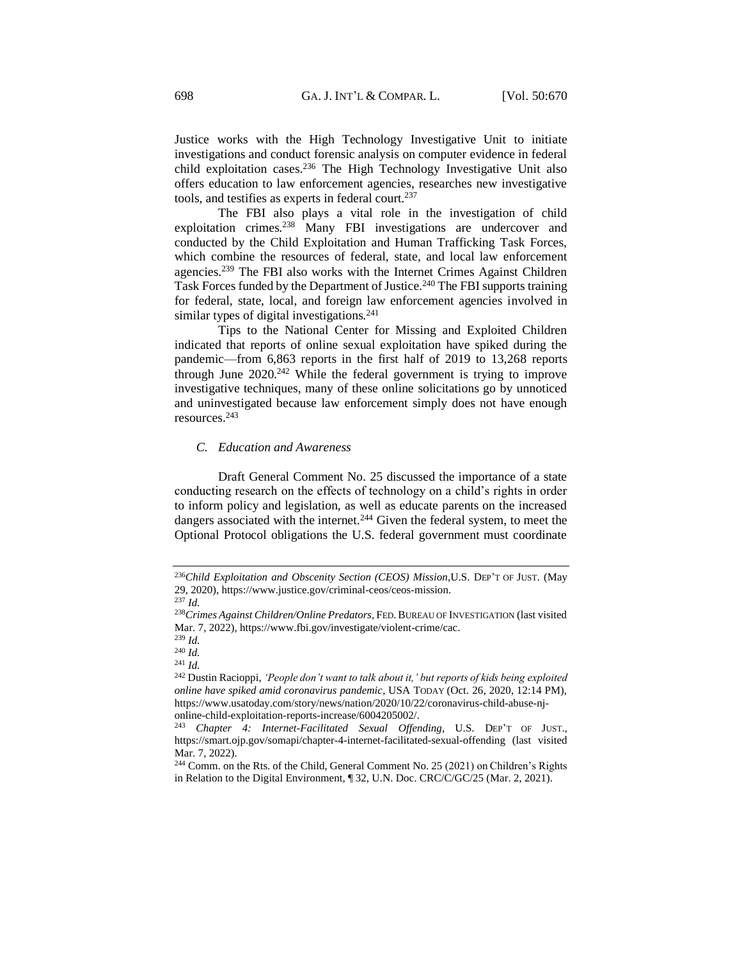Justice works with the High Technology Investigative Unit to initiate investigations and conduct forensic analysis on computer evidence in federal child exploitation cases.<sup>236</sup> The High Technology Investigative Unit also offers education to law enforcement agencies, researches new investigative tools, and testifies as experts in federal court.<sup>237</sup>

The FBI also plays a vital role in the investigation of child exploitation crimes.<sup>238</sup> Many FBI investigations are undercover and conducted by the Child Exploitation and Human Trafficking Task Forces, which combine the resources of federal, state, and local law enforcement agencies.<sup>239</sup> The FBI also works with the Internet Crimes Against Children Task Forces funded by the Department of Justice.<sup>240</sup> The FBI supports training for federal, state, local, and foreign law enforcement agencies involved in similar types of digital investigations.<sup>241</sup>

Tips to the National Center for Missing and Exploited Children indicated that reports of online sexual exploitation have spiked during the pandemic—from 6,863 reports in the first half of 2019 to 13,268 reports through June 2020.<sup>242</sup> While the federal government is trying to improve investigative techniques, many of these online solicitations go by unnoticed and uninvestigated because law enforcement simply does not have enough resources.<sup>243</sup>

# <span id="page-28-0"></span>*C. Education and Awareness*

Draft General Comment No. 25 discussed the importance of a state conducting research on the effects of technology on a child's rights in order to inform policy and legislation, as well as educate parents on the increased dangers associated with the internet.<sup>244</sup> Given the federal system, to meet the Optional Protocol obligations the U.S. federal government must coordinate

<sup>236</sup>*Child Exploitation and Obscenity Section (CEOS) Mission*,U.S. DEP'T OF JUST. (May 29, 2020), https://www.justice.gov/criminal-ceos/ceos-mission. <sup>237</sup> *Id.*

<sup>238</sup>*Crimes Against Children/Online Predators,* FED.BUREAU OF INVESTIGATION (last visited Mar. 7, 2022), https://www.fbi.gov/investigate/violent-crime/cac.

<sup>239</sup> *Id.*

<sup>240</sup> *Id.*

<sup>241</sup> *Id.*

<sup>242</sup> Dustin Racioppi, *'People don't want to talk about it,' but reports of kids being exploited online have spiked amid coronavirus pandemic*, USA TODAY (Oct. 26, 2020, 12:14 PM), [https://www.usatoday.com/story/news/nation/2020/10/22/coronavirus-child-abuse-nj](https://www.usatoday.com/story/news/nation/2020/10/22/coronavirus-child-abuse-nj-online-child-exploitation-reports-increase/6004205002/)[online-child-exploitation-reports-increase/6004205002/.](https://www.usatoday.com/story/news/nation/2020/10/22/coronavirus-child-abuse-nj-online-child-exploitation-reports-increase/6004205002/)

<sup>243</sup> *Chapter 4: Internet-Facilitated Sexual Offending*, U.S. DEP'T OF JUST., <https://smart.ojp.gov/somapi/chapter-4-internet-facilitated-sexual-offending> (last visited Mar. 7, 2022).

<sup>&</sup>lt;sup>244</sup> Comm. on the Rts. of the Child, General Comment No. 25 (2021) on Children's Rights in Relation to the Digital Environment, ¶ 32, U.N. Doc. CRC/C/GC/25 (Mar. 2, 2021).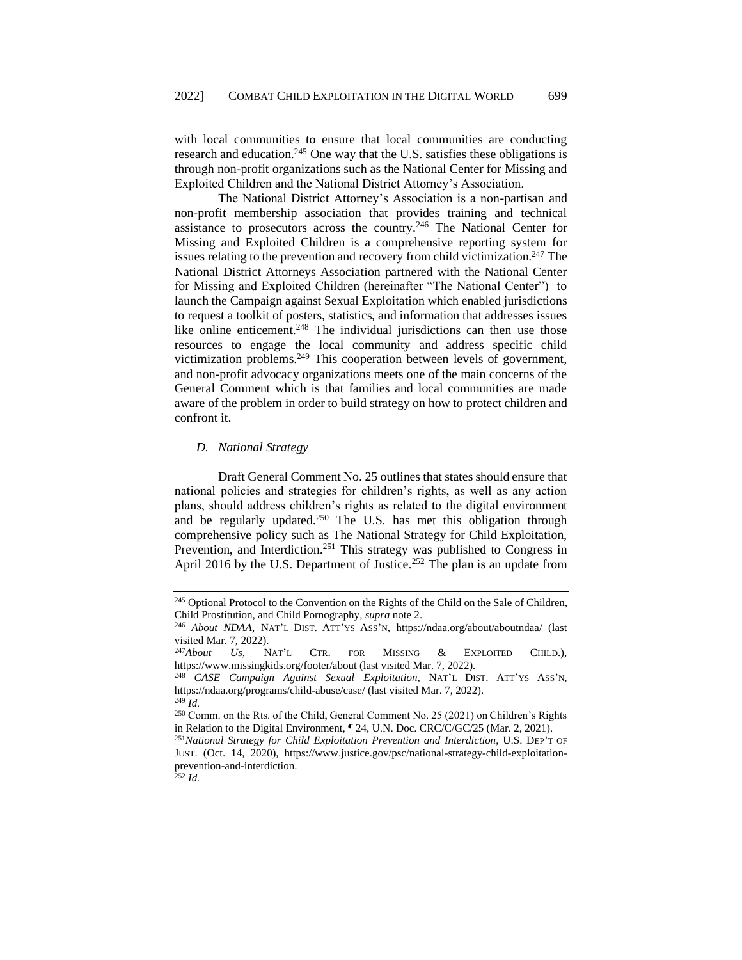with local communities to ensure that local communities are conducting research and education.<sup>245</sup> One way that the U.S. satisfies these obligations is through non-profit organizations such as the National Center for Missing and Exploited Children and the National District Attorney's Association.

The National District Attorney's Association is a non-partisan and non-profit membership association that provides training and technical assistance to prosecutors across the country.<sup>246</sup> The National Center for Missing and Exploited Children is a comprehensive reporting system for issues relating to the prevention and recovery from child victimization.<sup>247</sup> The National District Attorneys Association partnered with the National Center for Missing and Exploited Children (hereinafter "The National Center") to launch the Campaign against Sexual Exploitation which enabled jurisdictions to request a toolkit of posters, statistics, and information that addresses issues like online enticement.<sup>248</sup> The individual jurisdictions can then use those resources to engage the local community and address specific child victimization problems.<sup>249</sup> This cooperation between levels of government, and non-profit advocacy organizations meets one of the main concerns of the General Comment which is that families and local communities are made aware of the problem in order to build strategy on how to protect children and confront it.

#### <span id="page-29-0"></span>*D. National Strategy*

Draft General Comment No. 25 outlines that states should ensure that national policies and strategies for children's rights, as well as any action plans, should address children's rights as related to the digital environment and be regularly updated.<sup>250</sup> The U.S. has met this obligation through comprehensive policy such as The National Strategy for Child Exploitation, Prevention, and Interdiction.<sup>251</sup> This strategy was published to Congress in April 2016 by the U.S. Department of Justice.<sup>252</sup> The plan is an update from

<sup>&</sup>lt;sup>245</sup> Optional Protocol to the Convention on the Rights of the Child on the Sale of Children, Child Prostitution, and Child Pornography*, supra* note 2.

<sup>246</sup> *About NDAA*, NAT'L DIST. ATT'YS ASS'N, https://ndaa.org/about/aboutndaa/ (last visited Mar. 7, 2022).

<sup>247</sup>*About Us,* NAT'L CTR. FOR MISSING & EXPLOITED CHILD.), https://www.missingkids.org/footer/about (last visited Mar. 7, 2022).

<sup>248</sup> *CASE Campaign Against Sexual Exploitation*, NAT'L DIST. ATT'YS ASS'N, https://ndaa.org/programs/child-abuse/case/ (last visited Mar. 7, 2022). <sup>249</sup> *Id.*

<sup>250</sup> Comm. on the Rts. of the Child, General Comment No. 25 (2021) on Children's Rights in Relation to the Digital Environment, ¶ 24, U.N. Doc. CRC/C/GC/25 (Mar. 2, 2021).

<sup>251</sup>*National Strategy for Child Exploitation Prevention and Interdiction*, U.S. DEP'T OF JUST. (Oct. 14, 2020), https://www.justice.gov/psc/national-strategy-child-exploitationprevention-and-interdiction.

 $^{252}$  *Id.*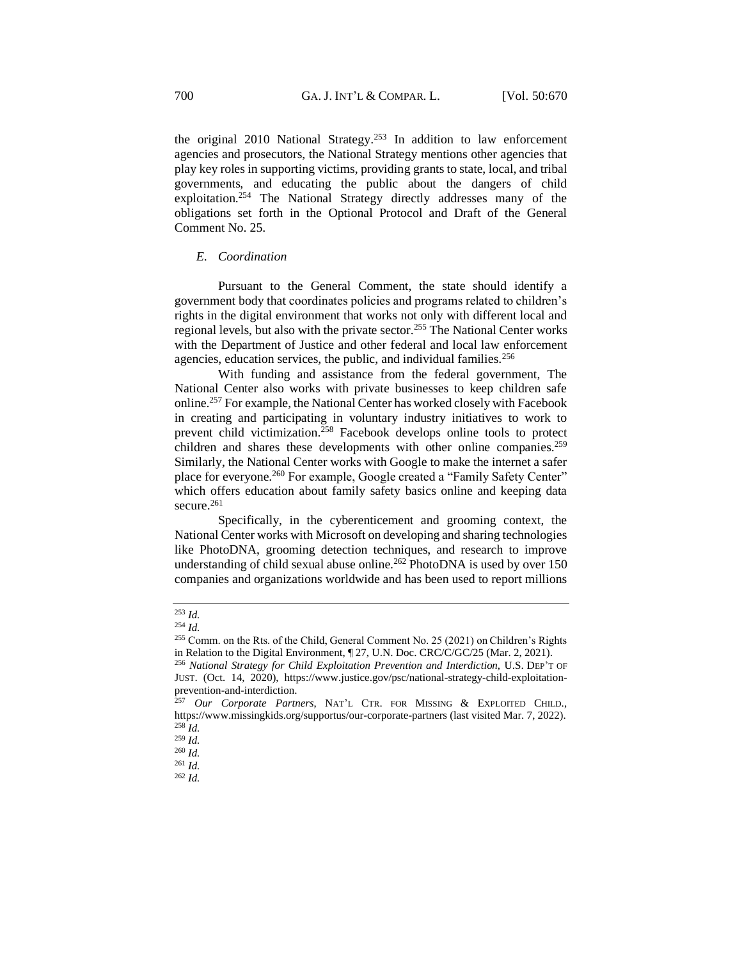the original 2010 National Strategy.<sup>253</sup> In addition to law enforcement agencies and prosecutors, the National Strategy mentions other agencies that play key roles in supporting victims, providing grants to state, local, and tribal governments, and educating the public about the dangers of child exploitation.<sup>254</sup> The National Strategy directly addresses many of the obligations set forth in the Optional Protocol and Draft of the General Comment No. 25.

#### <span id="page-30-0"></span>*E. Coordination*

Pursuant to the General Comment, the state should identify a government body that coordinates policies and programs related to children's rights in the digital environment that works not only with different local and regional levels, but also with the private sector.<sup>255</sup> The National Center works with the Department of Justice and other federal and local law enforcement agencies, education services, the public, and individual families.<sup>256</sup>

With funding and assistance from the federal government, The National Center also works with private businesses to keep children safe online.<sup>257</sup> For example, the National Center has worked closely with Facebook in creating and participating in voluntary industry initiatives to work to prevent child victimization.<sup>258</sup> Facebook develops online tools to protect children and shares these developments with other online companies.<sup>259</sup> Similarly, the National Center works with Google to make the internet a safer place for everyone.<sup>260</sup> For example, Google created a "Family Safety Center" which offers education about family safety basics online and keeping data secure.<sup>261</sup>

Specifically, in the cyberenticement and grooming context, the National Center works with Microsoft on developing and sharing technologies like PhotoDNA, grooming detection techniques, and research to improve understanding of child sexual abuse online.<sup>262</sup> PhotoDNA is used by over 150 companies and organizations worldwide and has been used to report millions

<sup>253</sup> *Id.*

<sup>254</sup> *Id.*

<sup>255</sup> Comm. on the Rts. of the Child, General Comment No. 25 (2021) on Children's Rights in Relation to the Digital Environment, ¶ 27, U.N. Doc. CRC/C/GC/25 (Mar. 2, 2021).

<sup>256</sup> *National Strategy for Child Exploitation Prevention and Interdiction,* U.S. DEP'T OF JUST. (Oct. 14, 2020), https://www.justice.gov/psc/national-strategy-child-exploitationprevention-and-interdiction.

<sup>257</sup> *Our Corporate Partners*, NAT'L CTR. FOR MISSING & EXPLOITED CHILD., <https://www.missingkids.org/supportus/our-corporate-partners> (last visited Mar. 7, 2022).  $258$  *Id.* 

<sup>259</sup> *Id.*

<sup>260</sup> *Id.*

<sup>261</sup> *Id.*

<sup>262</sup> *Id.*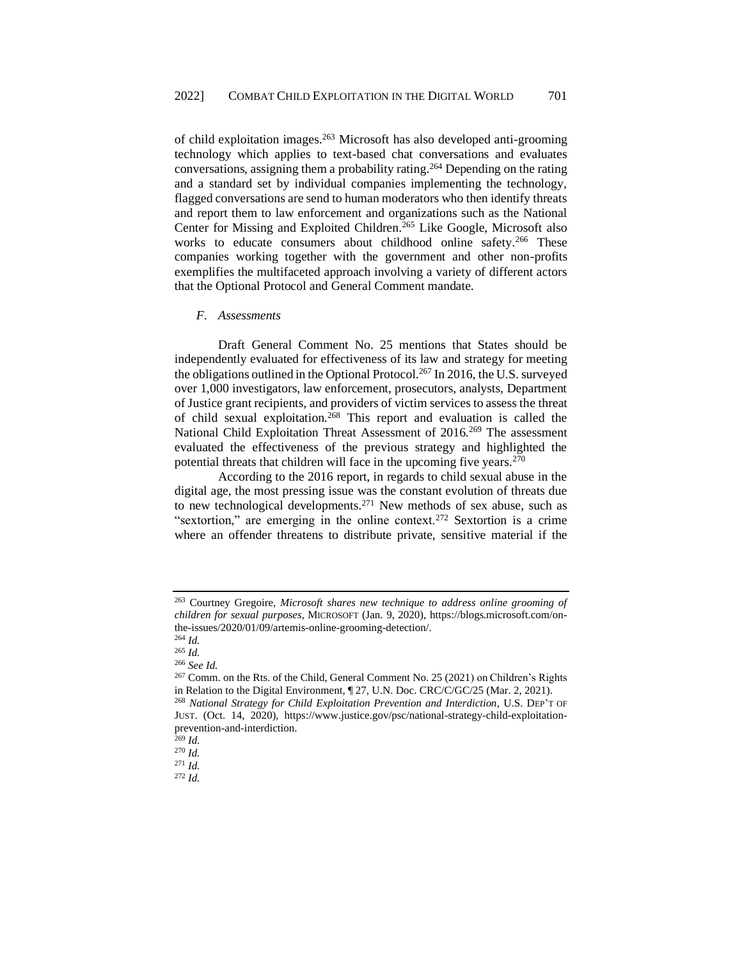of child exploitation images.<sup>263</sup> Microsoft has also developed anti-grooming technology which applies to text-based chat conversations and evaluates conversations, assigning them a probability rating.<sup>264</sup> Depending on the rating and a standard set by individual companies implementing the technology, flagged conversations are send to human moderators who then identify threats and report them to law enforcement and organizations such as the National Center for Missing and Exploited Children.<sup>265</sup> Like Google, Microsoft also works to educate consumers about childhood online safety.<sup>266</sup> These companies working together with the government and other non-profits exemplifies the multifaceted approach involving a variety of different actors that the Optional Protocol and General Comment mandate.

#### <span id="page-31-0"></span>*F. Assessments*

Draft General Comment No. 25 mentions that States should be independently evaluated for effectiveness of its law and strategy for meeting the obligations outlined in the Optional Protocol.<sup>267</sup> In 2016, the U.S. surveyed over 1,000 investigators, law enforcement, prosecutors, analysts, Department of Justice grant recipients, and providers of victim services to assess the threat of child sexual exploitation.<sup>268</sup> This report and evaluation is called the National Child Exploitation Threat Assessment of 2016.<sup>269</sup> The assessment evaluated the effectiveness of the previous strategy and highlighted the potential threats that children will face in the upcoming five years. $270$ 

According to the 2016 report, in regards to child sexual abuse in the digital age, the most pressing issue was the constant evolution of threats due to new technological developments.<sup>271</sup> New methods of sex abuse, such as "sextortion," are emerging in the online context.<sup>272</sup> Sextortion is a crime where an offender threatens to distribute private, sensitive material if the

<sup>263</sup> Courtney Gregoire, *Microsoft shares new technique to address online grooming of children for sexual purposes*, MICROSOFT (Jan. 9, 2020), https://blogs.microsoft.com/onthe-issues/2020/01/09/artemis-online-grooming-detection/.

<sup>264</sup> *Id.*

<sup>265</sup> *Id.* <sup>266</sup> *See Id.*

<sup>267</sup> Comm. on the Rts. of the Child, General Comment No. 25 (2021) on Children's Rights in Relation to the Digital Environment, ¶ 27, U.N. Doc. CRC/C/GC/25 (Mar. 2, 2021). <sup>268</sup> *National Strategy for Child Exploitation Prevention and Interdiction*, U.S. DEP'T OF JUST. (Oct. 14, 2020), https://www.justice.gov/psc/national-strategy-child-exploitationprevention-and-interdiction.

<sup>269</sup> *Id.*

<sup>270</sup> *Id.*

<sup>271</sup> *Id.*

<sup>272</sup> *Id.*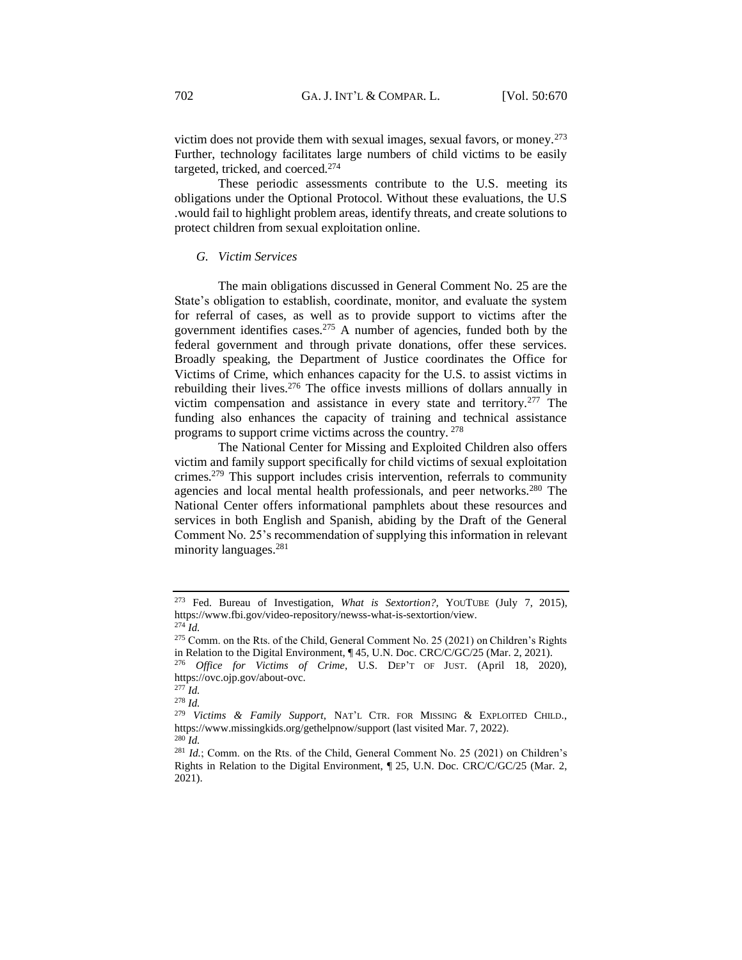victim does not provide them with sexual images, sexual favors, or money.<sup>273</sup> Further, technology facilitates large numbers of child victims to be easily targeted, tricked, and coerced.<sup>274</sup>

These periodic assessments contribute to the U.S. meeting its obligations under the Optional Protocol. Without these evaluations, the U.S .would fail to highlight problem areas, identify threats, and create solutions to protect children from sexual exploitation online.

#### <span id="page-32-0"></span>*G. Victim Services*

The main obligations discussed in General Comment No. 25 are the State's obligation to establish, coordinate, monitor, and evaluate the system for referral of cases, as well as to provide support to victims after the government identifies cases.<sup>275</sup> A number of agencies, funded both by the federal government and through private donations, offer these services. Broadly speaking, the Department of Justice coordinates the Office for Victims of Crime, which enhances capacity for the U.S. to assist victims in rebuilding their lives.<sup>276</sup> The office invests millions of dollars annually in victim compensation and assistance in every state and territory.<sup>277</sup> The funding also enhances the capacity of training and technical assistance programs to support crime victims across the country. <sup>278</sup>

The National Center for Missing and Exploited Children also offers victim and family support specifically for child victims of sexual exploitation crimes.<sup>279</sup> This support includes crisis intervention, referrals to community agencies and local mental health professionals, and peer networks.<sup>280</sup> The National Center offers informational pamphlets about these resources and services in both English and Spanish, abiding by the Draft of the General Comment No. 25's recommendation of supplying this information in relevant minority languages.<sup>281</sup>

<sup>273</sup> Fed. Bureau of Investigation, *What is Sextortion?,* YOUTUBE (July 7, 2015), https://www.fbi.gov/video-repository/newss-what-is-sextortion/view. <sup>274</sup> *Id.*

<sup>275</sup> Comm. on the Rts. of the Child, General Comment No. 25 (2021) on Children's Rights in Relation to the Digital Environment, ¶ 45, U.N. Doc. CRC/C/GC/25 (Mar. 2, 2021).

<sup>276</sup> *Office for Victims of Crime*, U.S. DEP'T OF JUST. (April 18, 2020), [https://ovc.ojp.gov/about-ovc.](https://ovc.ojp.gov/about-ovc)

<sup>277</sup> *Id.* <sup>278</sup> *Id.*

<sup>279</sup> *Victims & Family Support*, NAT'L CTR. FOR MISSING & EXPLOITED CHILD., https://www.missingkids.org/gethelpnow/support (last visited Mar. 7, 2022). <sup>280</sup> *Id.*

<sup>&</sup>lt;sup>281</sup> *Id.*; Comm. on the Rts. of the Child, General Comment No. 25 (2021) on Children's Rights in Relation to the Digital Environment, ¶ 25, U.N. Doc. CRC/C/GC/25 (Mar. 2, 2021).